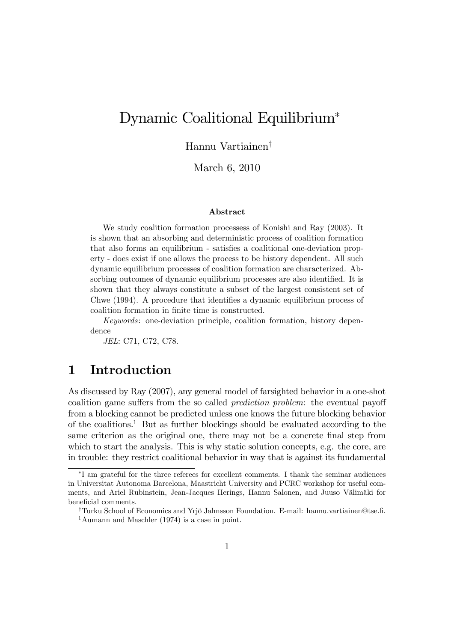# Dynamic Coalitional Equilibrium

### Hannu Vartiainen<sup>†</sup>

March 6, 2010

#### Abstract

We study coalition formation processess of Konishi and Ray (2003). It is shown that an absorbing and deterministic process of coalition formation that also forms an equilibrium - satisfies a coalitional one-deviation property - does exist if one allows the process to be history dependent. All such dynamic equilibrium processes of coalition formation are characterized. Absorbing outcomes of dynamic equilibrium processes are also identified. It is shown that they always constitute a subset of the largest consistent set of Chwe  $(1994)$ . A procedure that identifies a dynamic equilibrium process of coalition formation in finite time is constructed.

Keywords: one-deviation principle, coalition formation, history dependence

JEL: C71, C72, C78.

### 1 Introduction

As discussed by Ray (2007), any general model of farsighted behavior in a one-shot coalition game suffers from the so called *prediction problem*: the eventual payoff from a blocking cannot be predicted unless one knows the future blocking behavior of the coalitions.<sup>1</sup> But as further blockings should be evaluated according to the same criterion as the original one, there may not be a concrete final step from which to start the analysis. This is why static solution concepts, e.g. the core, are in trouble: they restrict coalitional behavior in way that is against its fundamental

I am grateful for the three referees for excellent comments. I thank the seminar audiences in Universitat Autonoma Barcelona, Maastricht University and PCRC workshop for useful comments, and Ariel Rubinstein, Jean-Jacques Herings, Hannu Salonen, and Juuso Välimäki for beneficial comments.

<sup>&</sup>lt;sup>†</sup>Turku School of Economics and Yrjö Jahnsson Foundation. E-mail: hannu.vartiainen@tse.fi.

<sup>&</sup>lt;sup>1</sup>Aumann and Maschler (1974) is a case in point.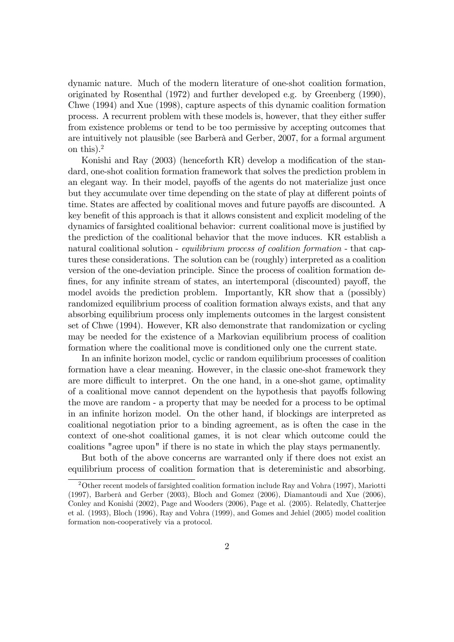dynamic nature. Much of the modern literature of one-shot coalition formation, originated by Rosenthal (1972) and further developed e.g. by Greenberg (1990), Chwe (1994) and Xue (1998), capture aspects of this dynamic coalition formation process. A recurrent problem with these models is, however, that they either suffer from existence problems or tend to be too permissive by accepting outcomes that are intuitively not plausible (see Barberà and Gerber, 2007, for a formal argument on this).<sup>2</sup>

Konishi and Ray  $(2003)$  (henceforth KR) develop a modification of the standard, one-shot coalition formation framework that solves the prediction problem in an elegant way. In their model, payoffs of the agents do not materialize just once but they accumulate over time depending on the state of play at different points of time. States are affected by coalitional moves and future payoffs are discounted. A key benefit of this approach is that it allows consistent and explicit modeling of the dynamics of farsighted coalitional behavior: current coalitional move is justified by the prediction of the coalitional behavior that the move induces. KR establish a natural coalitional solution - *equilibrium process of coalition formation* - that captures these considerations. The solution can be (roughly) interpreted as a coalition version of the one-deviation principle. Since the process of coalition formation defines, for any infinite stream of states, an intertemporal (discounted) payoff, the model avoids the prediction problem. Importantly, KR show that a (possibly) randomized equilibrium process of coalition formation always exists, and that any absorbing equilibrium process only implements outcomes in the largest consistent set of Chwe (1994). However, KR also demonstrate that randomization or cycling may be needed for the existence of a Markovian equilibrium process of coalition formation where the coalitional move is conditioned only one the current state.

In an inÖnite horizon model, cyclic or random equilibrium processes of coalition formation have a clear meaning. However, in the classic one-shot framework they are more difficult to interpret. On the one hand, in a one-shot game, optimality of a coalitional move cannot dependent on the hypothesis that payoffs following the move are random - a property that may be needed for a process to be optimal in an infinite horizon model. On the other hand, if blockings are interpreted as coalitional negotiation prior to a binding agreement, as is often the case in the context of one-shot coalitional games, it is not clear which outcome could the coalitions "agree upon" if there is no state in which the play stays permanently.

But both of the above concerns are warranted only if there does not exist an equilibrium process of coalition formation that is detereministic and absorbing.

<sup>2</sup>Other recent models of farsighted coalition formation include Ray and Vohra (1997), Mariotti  $(1997)$ , Barberà and Gerber  $(2003)$ , Bloch and Gomez  $(2006)$ , Diamantoudi and Xue  $(2006)$ , Conley and Konishi (2002), Page and Wooders (2006), Page et al. (2005). Relatedly, Chatterjee et al. (1993), Bloch (1996), Ray and Vohra (1999), and Gomes and Jehiel (2005) model coalition formation non-cooperatively via a protocol.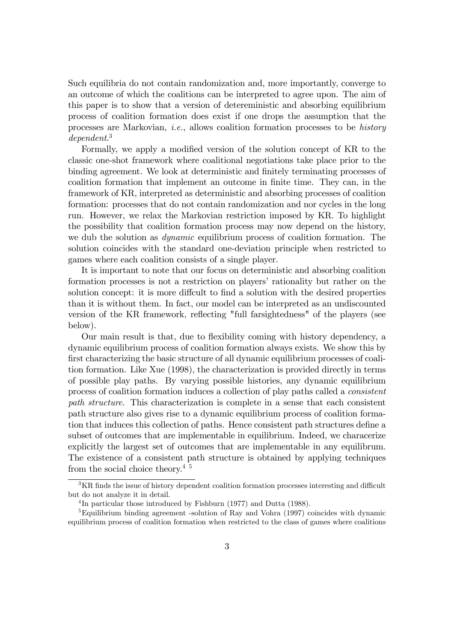Such equilibria do not contain randomization and, more importantly, converge to an outcome of which the coalitions can be interpreted to agree upon. The aim of this paper is to show that a version of detereministic and absorbing equilibrium process of coalition formation does exist if one drops the assumption that the processes are Markovian, i.e., allows coalition formation processes to be history dependent. 3

Formally, we apply a modified version of the solution concept of KR to the classic one-shot framework where coalitional negotiations take place prior to the binding agreement. We look at deterministic and finitely terminating processes of coalition formation that implement an outcome in Önite time. They can, in the framework of KR, interpreted as deterministic and absorbing processes of coalition formation: processes that do not contain randomization and nor cycles in the long run. However, we relax the Markovian restriction imposed by KR. To highlight the possibility that coalition formation process may now depend on the history, we dub the solution as *dynamic* equilibrium process of coalition formation. The solution coincides with the standard one-deviation principle when restricted to games where each coalition consists of a single player.

It is important to note that our focus on deterministic and absorbing coalition formation processes is not a restriction on players' rationality but rather on the solution concept: it is more diffcult to find a solution with the desired properties than it is without them. In fact, our model can be interpreted as an undiscounted version of the KR framework, reflecting "full farsightedness" of the players (see below).

Our main result is that, due to flexibility coming with history dependency, a dynamic equilibrium process of coalition formation always exists. We show this by first characterizing the basic structure of all dynamic equilibrium processes of coalition formation. Like Xue (1998), the characterization is provided directly in terms of possible play paths. By varying possible histories, any dynamic equilibrium process of coalition formation induces a collection of play paths called a consistent path structure. This characterization is complete in a sense that each consistent path structure also gives rise to a dynamic equilibrium process of coalition formation that induces this collection of paths. Hence consistent path structures define a subset of outcomes that are implementable in equilibrium. Indeed, we characerize explicitly the largest set of outcomes that are implementable in any equilibrum. The existence of a consistent path structure is obtained by applying techniques from the social choice theory.<sup>4 5</sup>

 ${}^{3}$ KR finds the issue of history dependent coalition formation processes interesting and difficult but do not analyze it in detail.

<sup>&</sup>lt;sup>4</sup>In particular those introduced by Fishburn (1977) and Dutta (1988).

<sup>5</sup>Equilibrium binding agreement -solution of Ray and Vohra (1997) coincides with dynamic equilibrium process of coalition formation when restricted to the class of games where coalitions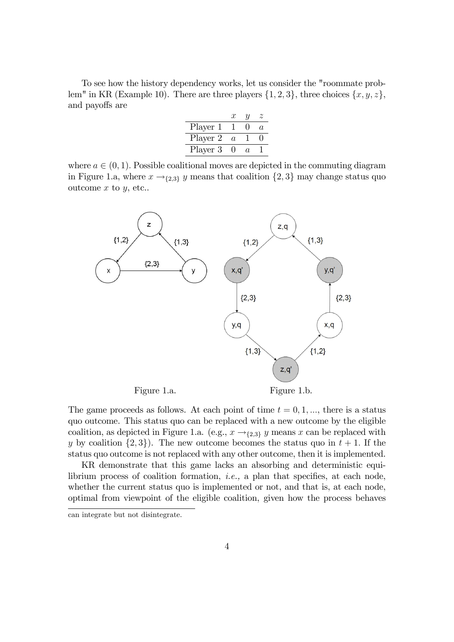To see how the history dependency works, let us consider the "roommate problem" in KR (Example 10). There are three players  $\{1, 2, 3\}$ , three choices  $\{x, y, z\}$ , and payoffs are

|          | T        | Ί   |          |
|----------|----------|-----|----------|
| Player 1 |          |     | $\alpha$ |
| Player 2 | $\alpha$ |     |          |
| Player 3 |          | 71. |          |

where  $a \in (0, 1)$ . Possible coalitional moves are depicted in the commuting diagram in Figure 1.a, where  $x \rightarrow_{2,3} y$  means that coalition  $\{2,3\}$  may change status quo outcome  $x$  to  $y$ , etc..



The game proceeds as follows. At each point of time  $t = 0, 1, \dots$ , there is a status quo outcome. This status quo can be replaced with a new outcome by the eligible coalition, as depicted in Figure 1.a. (e.g.,  $x \rightarrow_{2,3} y$  means x can be replaced with y by coalition  $\{2,3\}$ . The new outcome becomes the status quo in  $t + 1$ . If the status quo outcome is not replaced with any other outcome, then it is implemented.

KR demonstrate that this game lacks an absorbing and deterministic equilibrium process of coalition formation, *i.e.*, a plan that specifies, at each node, whether the current status quo is implemented or not, and that is, at each node, optimal from viewpoint of the eligible coalition, given how the process behaves

can integrate but not disintegrate.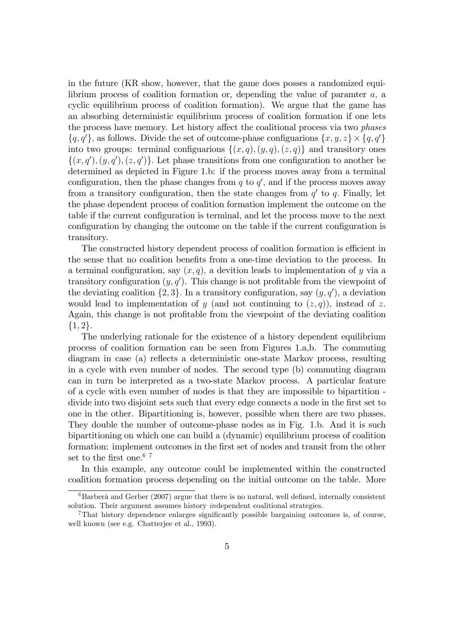in the future (KR show, however, that the game does posses a randomized equilibrium process of coalition formation or, depending the value of paramter  $a$ , a cyclic equilibrium process of coalition formation). We argue that the game has an absorbing deterministic equilibrium process of coalition formation if one lets the process have memory. Let history affect the coalitional process via two *phases*  $\{q, q'\}$ , as follows. Divide the set of outcome-phase configuarions  $\{x, y, z\} \times \{q, q'\}$ into two groups: terminal configuarions  $\{(x, q), (y, q), (z, q)\}\$  and transitory ones  $\{(x, q'), (y, q'), (z, q')\}.$  Let phase transitions from one configuration to another be determined as depicted in Figure 1.b: if the process moves away from a terminal configuration, then the phase changes from  $q$  to  $q'$ , and if the process moves away from a transitory configuration, then the state changes from  $q'$  to q. Finally, let the phase dependent process of coalition formation implement the outcome on the table if the current configuration is terminal, and let the process move to the next configuration by changing the outcome on the table if the current configuration is transitory.

The constructed history dependent process of coalition formation is efficient in the sense that no coalition benefits from a one-time deviation to the process. In a terminal configuration, say  $(x, q)$ , a devition leads to implementation of y via a transitory configuration  $(y, q')$ . This change is not profitable from the viewpoint of the deviating coalition  $\{2,3\}$ . In a transitory configuration, say  $(y, q')$ , a deviation would lead to implementation of y (and not continuing to  $(z, q)$ ), instead of z. Again, this change is not profitable from the viewpoint of the deviating coalition  $\{1, 2\}.$ 

The underlying rationale for the existence of a history dependent equilibrium process of coalition formation can be seen from Figures 1.a,b. The commuting diagram in case (a) reflects a deterministic one-state Markov process, resulting in a cycle with even number of nodes. The second type (b) commuting diagram can in turn be interpreted as a two-state Markov process. A particular feature of a cycle with even number of nodes is that they are impossible to bipartition divide into two disjoint sets such that every edge connects a node in the first set to one in the other. Bipartitioning is, however, possible when there are two phases. They double the number of outcome-phase nodes as in Fig. 1.b. And it is such bipartitioning on which one can build a (dynamic) equilibrium process of coalition formation: implement outcomes in the first set of nodes and transit from the other set to the first one.<br> $^{\rm 6}$   $^{\rm 7}$ 

In this example, any outcome could be implemented within the constructed coalition formation process depending on the initial outcome on the table. More

 ${}^{6}$ Barberà and Gerber (2007) argue that there is no natural, well defined, internally consistent solution. Their argument assumes history independent coalitional strategies.

 $7$ That history dependence enlarges significantly possible bargaining outcomes is, of course, well known (see e.g. Chatterjee et al., 1993).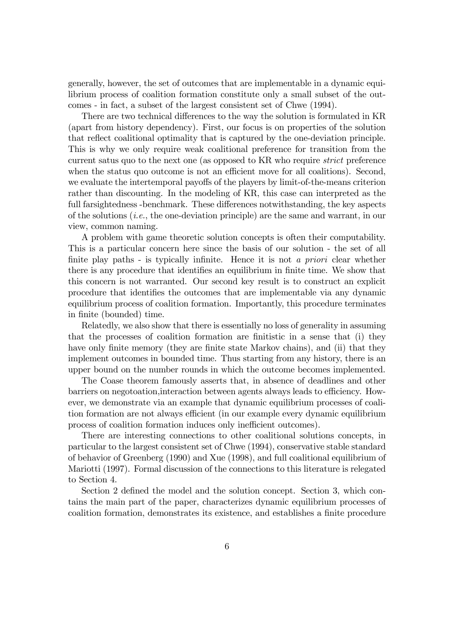generally, however, the set of outcomes that are implementable in a dynamic equilibrium process of coalition formation constitute only a small subset of the outcomes - in fact, a subset of the largest consistent set of Chwe (1994).

There are two technical differences to the way the solution is formulated in KR (apart from history dependency). First, our focus is on properties of the solution that reflect coalitional optimality that is captured by the one-deviation principle. This is why we only require weak coalitional preference for transition from the current satus quo to the next one (as opposed to KR who require strict preference when the status quo outcome is not an efficient move for all coalitions). Second, we evaluate the intertemporal payoffs of the players by limit-of-the-means criterion rather than discounting. In the modeling of KR, this case can interpreted as the full farsightedness -benchmark. These differences notwithstanding, the key aspects of the solutions  $(i.e.,$  the one-deviation principle) are the same and warrant, in our view, common naming.

A problem with game theoretic solution concepts is often their computability. This is a particular concern here since the basis of our solution - the set of all finite play paths - is typically infinite. Hence it is not a *priori* clear whether there is any procedure that identifies an equilibrium in finite time. We show that this concern is not warranted. Our second key result is to construct an explicit procedure that identifies the outcomes that are implementable via any dynamic equilibrium process of coalition formation. Importantly, this procedure terminates in finite (bounded) time.

Relatedly, we also show that there is essentially no loss of generality in assuming that the processes of coalition formation are finitistic in a sense that (i) they have only finite memory (they are finite state Markov chains), and (ii) that they implement outcomes in bounded time. Thus starting from any history, there is an upper bound on the number rounds in which the outcome becomes implemented.

The Coase theorem famously asserts that, in absence of deadlines and other barriers on negotoation, interaction between agents always leads to efficiency. However, we demonstrate via an example that dynamic equilibrium processes of coalition formation are not always efficient (in our example every dynamic equilibrium process of coalition formation induces only inefficient outcomes).

There are interesting connections to other coalitional solutions concepts, in particular to the largest consistent set of Chwe (1994), conservative stable standard of behavior of Greenberg (1990) and Xue (1998), and full coalitional equilibrium of Mariotti (1997). Formal discussion of the connections to this literature is relegated to Section 4.

Section 2 defined the model and the solution concept. Section 3, which contains the main part of the paper, characterizes dynamic equilibrium processes of coalition formation, demonstrates its existence, and establishes a finite procedure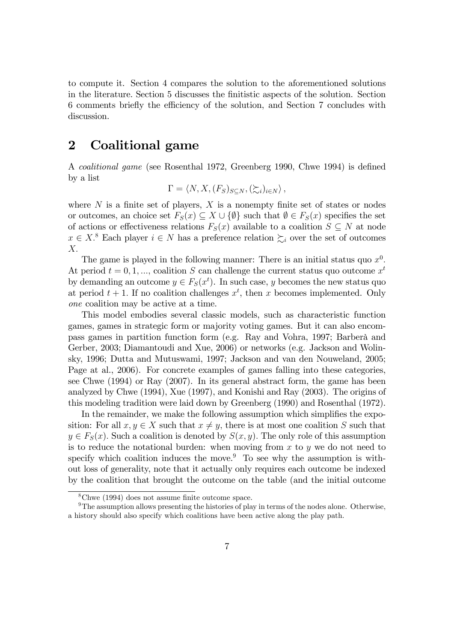to compute it. Section 4 compares the solution to the aforementioned solutions in the literature. Section 5 discusses the finitistic aspects of the solution. Section 6 comments briefly the efficiency of the solution, and Section 7 concludes with discussion.

## 2 Coalitional game

A *coalitional game* (see Rosenthal 1972, Greenberg 1990, Chwe 1994) is defined by a list

$$
\Gamma = \langle N, X, (F_S)_{S \subseteq N}, (\succeq_i)_{i \in N} \rangle ,
$$

where  $N$  is a finite set of players,  $X$  is a nonempty finite set of states or nodes or outcomes, an choice set  $F_S(x) \subseteq X \cup \{\emptyset\}$  such that  $\emptyset \in F_S(x)$  specifies the set of actions or effectiveness relations  $F_S(x)$  available to a coalition  $S \subseteq N$  at node  $x \in X$ <sup>8</sup>. Each player  $i \in N$  has a preference relation  $\sum_{i}$  over the set of outcomes  $X<sub>1</sub>$ 

The game is played in the following manner: There is an initial status quo  $x^0$ . At period  $t = 0, 1, ...,$  coalition S can challenge the current status quo outcome  $x<sup>t</sup>$ by demanding an outcome  $y \in F_S(x^t)$ . In such case, y becomes the new status quo at period  $t + 1$ . If no coalition challenges  $x^t$ , then x becomes implemented. Only one coalition may be active at a time.

This model embodies several classic models, such as characteristic function games, games in strategic form or majority voting games. But it can also encompass games in partition function form (e.g. Ray and Vohra, 1997; Barberà and Gerber, 2003; Diamantoudi and Xue, 2006) or networks (e.g. Jackson and Wolinsky, 1996; Dutta and Mutuswami, 1997; Jackson and van den Nouweland, 2005; Page at al., 2006). For concrete examples of games falling into these categories, see Chwe (1994) or Ray (2007). In its general abstract form, the game has been analyzed by Chwe (1994), Xue (1997), and Konishi and Ray (2003). The origins of this modeling tradition were laid down by Greenberg (1990) and Rosenthal (1972).

In the remainder, we make the following assumption which simplifies the exposition: For all  $x, y \in X$  such that  $x \neq y$ , there is at most one coalition S such that  $y \in F_S(x)$ . Such a coalition is denoted by  $S(x, y)$ . The only role of this assumption is to reduce the notational burden: when moving from  $x$  to  $y$  we do not need to specify which coalition induces the move.<sup>9</sup> To see why the assumption is without loss of generality, note that it actually only requires each outcome be indexed by the coalition that brought the outcome on the table (and the initial outcome

 $8$ Chwe (1994) does not assume finite outcome space.

<sup>9</sup>The assumption allows presenting the histories of play in terms of the nodes alone. Otherwise, a history should also specify which coalitions have been active along the play path.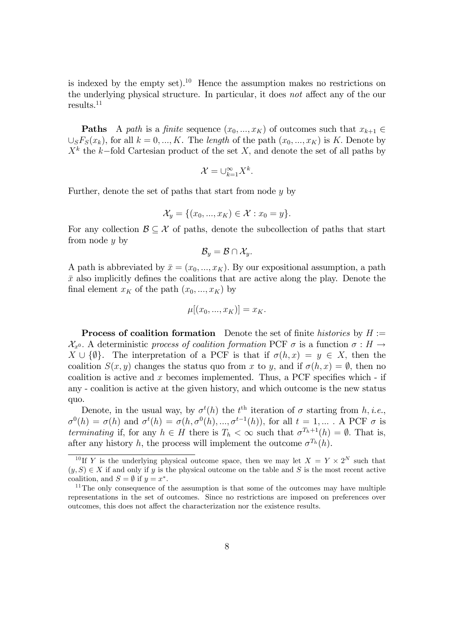is indexed by the empty set).<sup>10</sup> Hence the assumption makes no restrictions on the underlying physical structure. In particular, it does not affect any of the our results.<sup>11</sup>

**Paths** A path is a finite sequence  $(x_0, ..., x_K)$  of outcomes such that  $x_{k+1} \in$  $\bigcup_{S}F_{S}(x_{k}),$  for all  $k = 0, ..., K$ . The length of the path  $(x_{0}, ..., x_{K})$  is K. Denote by  $X<sup>k</sup>$  the k-fold Cartesian product of the set X; and denote the set of all paths by

$$
\mathcal{X}=\cup_{k=1}^{\infty}X^k.
$$

Further, denote the set of paths that start from node  $y$  by

$$
\mathcal{X}_y = \{(x_0, ..., x_K) \in \mathcal{X} : x_0 = y\}.
$$

For any collection  $\mathcal{B} \subset \mathcal{X}$  of paths, denote the subcollection of paths that start from node y by

$$
\mathcal{B}_y=\mathcal{B}\cap \mathcal{X}_y.
$$

A path is abbreviated by  $\bar{x} = (x_0, ..., x_K)$ . By our expositional assumption, a path  $\bar{x}$  also implicitly defines the coalitions that are active along the play. Denote the final element  $x_K$  of the path  $(x_0, ..., x_K)$  by

$$
\mu[(x_0, ..., x_K)] = x_K.
$$

**Process of coalition formation** Denote the set of finite histories by  $H :=$  $\mathcal{X}_{x^0}$ . A deterministic process of coalition formation PCF  $\sigma$  is a function  $\sigma : H \to$  $X \cup {\emptyset}$ . The interpretation of a PCF is that if  $\sigma(h, x) = y \in X$ , then the coalition  $S(x, y)$  changes the status quo from x to y, and if  $\sigma(h, x) = \emptyset$ , then no coalition is active and x becomes implemented. Thus, a PCF specifies which - if any - coalition is active at the given history, and which outcome is the new status quo.

Denote, in the usual way, by  $\sigma^t(h)$  the  $t^{\text{th}}$  iteration of  $\sigma$  starting from h, i.e.,  $\sigma^0(h) = \sigma(h)$  and  $\sigma^t(h) = \sigma(h, \sigma^0(h), ..., \sigma^{t-1}(h)),$  for all  $t = 1, ...$ . A PCF  $\sigma$  is terminating if, for any  $h \in H$  there is  $T_h < \infty$  such that  $\sigma^{T_h+1}(h) = \emptyset$ . That is, after any history h, the process will implement the outcome  $\sigma^{T_h}(h)$ .

<sup>&</sup>lt;sup>10</sup>If Y is the underlying physical outcome space, then we may let  $X = Y \times 2^N$  such that  $(y, S) \in X$  if and only if y is the physical outcome on the table and S is the most recent active coalition, and  $S = \emptyset$  if  $y = x^*$ .

 $11$ The only consequence of the assumption is that some of the outcomes may have multiple representations in the set of outcomes. Since no restrictions are imposed on preferences over outcomes, this does not affect the characterization nor the existence results.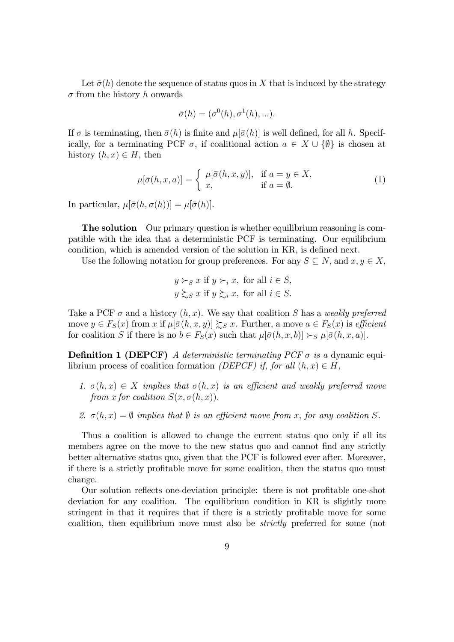Let  $\bar{\sigma}(h)$  denote the sequence of status quos in X that is induced by the strategy  $\sigma$  from the history h onwards

$$
\bar{\sigma}(h) = (\sigma^0(h), \sigma^1(h), \ldots).
$$

If  $\sigma$  is terminating, then  $\bar{\sigma}(h)$  is finite and  $\mu[\bar{\sigma}(h)]$  is well defined, for all h. Specifically, for a terminating PCF  $\sigma$ , if coalitional action  $a \in X \cup \{\emptyset\}$  is chosen at history  $(h, x) \in H$ , then

$$
\mu[\bar{\sigma}(h,x,a)] = \begin{cases} \mu[\bar{\sigma}(h,x,y)], & \text{if } a = y \in X, \\ x, & \text{if } a = \emptyset. \end{cases}
$$
 (1)

In particular,  $\mu[\bar{\sigma}(h, \sigma(h))] = \mu[\bar{\sigma}(h)].$ 

**The solution** Our primary question is whether equilibrium reasoning is compatible with the idea that a deterministic PCF is terminating. Our equilibrium condition, which is amended version of the solution in KR, is defined next.

Use the following notation for group preferences. For any  $S \subseteq N$ , and  $x, y \in X$ ,

$$
y \succ_S x
$$
 if  $y \succ_i x$ , for all  $i \in S$ ,  
 $y \succsim_S x$  if  $y \succsim_i x$ , for all  $i \in S$ .

Take a PCF  $\sigma$  and a history  $(h, x)$ . We say that coalition S has a weakly preferred move  $y \in F_S(x)$  from x if  $\mu[\bar{\sigma}(h, x, y)] \gtrsim_S x$ . Further, a move  $a \in F_S(x)$  is efficient for coalition S if there is no  $b \in F_S(x)$  such that  $\mu[\bar{\sigma}(h, x, b)] \succ_S \mu[\bar{\sigma}(h, x, a)]$ .

**Definition 1 (DEPCF)** A deterministic terminating PCF  $\sigma$  is a dynamic equilibrium process of coalition formation *(DEPCF)* if, for all  $(h, x) \in H$ ,

- 1.  $\sigma(h, x) \in X$  implies that  $\sigma(h, x)$  is an efficient and weakly preferred move from x for coalition  $S(x, \sigma(h, x))$ .
- 2.  $\sigma(h, x) = \emptyset$  implies that  $\emptyset$  is an efficient move from x, for any coalition S.

Thus a coalition is allowed to change the current status quo only if all its members agree on the move to the new status quo and cannot find any strictly better alternative status quo, given that the PCF is followed ever after. Moreover, if there is a strictly profitable move for some coalition, then the status quo must change.

Our solution reflects one-deviation principle: there is not profitable one-shot deviation for any coalition. The equilibrium condition in KR is slightly more stringent in that it requires that if there is a strictly profitable move for some coalition, then equilibrium move must also be strictly preferred for some (not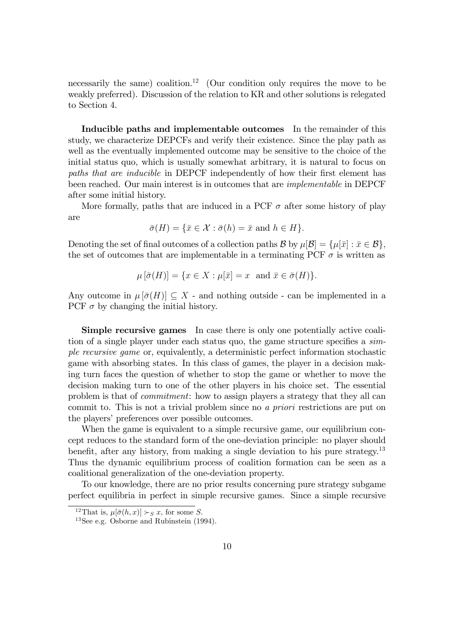necessarily the same) coalition.<sup>12</sup> (Our condition only requires the move to be weakly preferred). Discussion of the relation to KR and other solutions is relegated to Section 4.

Inducible paths and implementable outcomes In the remainder of this study, we characterize DEPCFs and verify their existence. Since the play path as well as the eventually implemented outcome may be sensitive to the choice of the initial status quo, which is usually somewhat arbitrary, it is natural to focus on paths that are inducible in DEPCF independently of how their first element has been reached. Our main interest is in outcomes that are implementable in DEPCF after some initial history.

More formally, paths that are induced in a PCF  $\sigma$  after some history of play are

$$
\bar{\sigma}(H) = \{ \bar{x} \in \mathcal{X} : \bar{\sigma}(h) = \bar{x} \text{ and } h \in H \}.
$$

Denoting the set of final outcomes of a collection paths  $\mathcal{B}$  by  $\mu[\mathcal{B}] = {\mu[\bar{x}] : \bar{x} \in \mathcal{B}}$ , the set of outcomes that are implementable in a terminating PCF  $\sigma$  is written as

$$
\mu\left[\bar{\sigma}(H)\right] = \{x \in X : \mu[\bar{x}] = x \text{ and } \bar{x} \in \bar{\sigma}(H)\}.
$$

Any outcome in  $\mu[\bar{\sigma}(H)] \subseteq X$  - and nothing outside - can be implemented in a PCF  $\sigma$  by changing the initial history.

Simple recursive games In case there is only one potentially active coalition of a single player under each status quo, the game structure specifies a  $sim$ ple recursive game or, equivalently, a deterministic perfect information stochastic game with absorbing states. In this class of games, the player in a decision making turn faces the question of whether to stop the game or whether to move the decision making turn to one of the other players in his choice set. The essential problem is that of commitment: how to assign players a strategy that they all can commit to. This is not a trivial problem since no a priori restrictions are put on the players' preferences over possible outcomes.

When the game is equivalent to a simple recursive game, our equilibrium concept reduces to the standard form of the one-deviation principle: no player should benefit, after any history, from making a single deviation to his pure strategy.<sup>13</sup> Thus the dynamic equilibrium process of coalition formation can be seen as a coalitional generalization of the one-deviation property.

To our knowledge, there are no prior results concerning pure strategy subgame perfect equilibria in perfect in simple recursive games. Since a simple recursive

<sup>&</sup>lt;sup>12</sup>That is,  $\mu[\bar{\sigma}(h, x)] \succ_S x$ , for some S.

<sup>13</sup>See e.g. Osborne and Rubinstein (1994).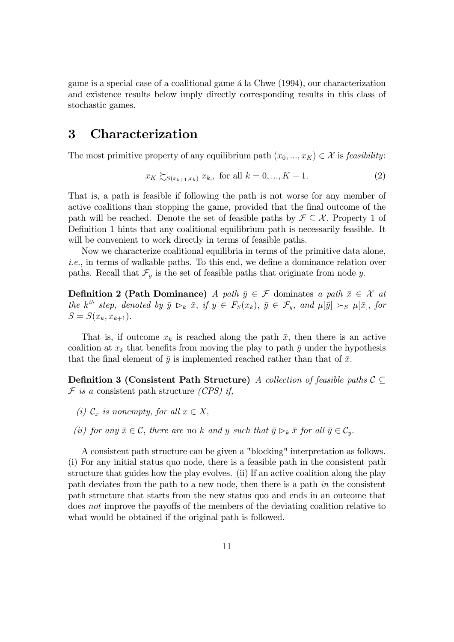game is a special case of a coalitional game  $\alpha$  la Chwe (1994), our characterization and existence results below imply directly corresponding results in this class of stochastic games.

# 3 Characterization

The most primitive property of any equilibrium path  $(x_0, ..., x_K) \in \mathcal{X}$  is feasibility:

$$
x_K \sum_{S(x_{k+1},x_k)} x_k
$$
, for all  $k = 0, ..., K - 1$ . (2)

That is, a path is feasible if following the path is not worse for any member of active coalitions than stopping the game, provided that the final outcome of the path will be reached. Denote the set of feasible paths by  $\mathcal{F} \subseteq \mathcal{X}$ . Property 1 of Definition 1 hints that any coalitional equilibrium path is necessarily feasible. It will be convenient to work directly in terms of feasible paths.

Now we characterize coalitional equilibria in terms of the primitive data alone,  $i.e.,$  in terms of walkable paths. To this end, we define a dominance relation over paths. Recall that  $\mathcal{F}_y$  is the set of feasible paths that originate from node y.

**Definition 2 (Path Dominance)** A path  $\bar{y} \in \mathcal{F}$  dominates a path  $\bar{x} \in \mathcal{X}$  at the  $k^{th}$  step, denoted by  $\bar{y} \rhd_k \bar{x}$ , if  $y \in F_S(x_k)$ ,  $\bar{y} \in \mathcal{F}_y$ , and  $\mu[\bar{y}] \succ_S \mu[\bar{x}]$ , for  $S = S(x_k, x_{k+1}).$ 

That is, if outcome  $x_k$  is reached along the path  $\bar{x}$ , then there is an active coalition at  $x_k$  that benefits from moving the play to path  $\bar{y}$  under the hypothesis that the final element of  $\bar{y}$  is implemented reached rather than that of  $\bar{x}$ .

**Definition 3 (Consistent Path Structure)** A collection of feasible paths  $C \subseteq$  $\mathcal F$  is a consistent path structure *(CPS)* if,

- (i)  $\mathcal{C}_x$  is nonempty, for all  $x \in X$ ;
- (ii) for any  $\bar{x} \in \mathcal{C}$ , there are no k and y such that  $\bar{y} \rhd_k \bar{x}$  for all  $\bar{y} \in \mathcal{C}_y$ .

A consistent path structure can be given a "blocking" interpretation as follows. (i) For any initial status quo node, there is a feasible path in the consistent path structure that guides how the play evolves. (ii) If an active coalition along the play path deviates from the path to a new node, then there is a path in the consistent path structure that starts from the new status quo and ends in an outcome that does not improve the payoffs of the members of the deviating coalition relative to what would be obtained if the original path is followed.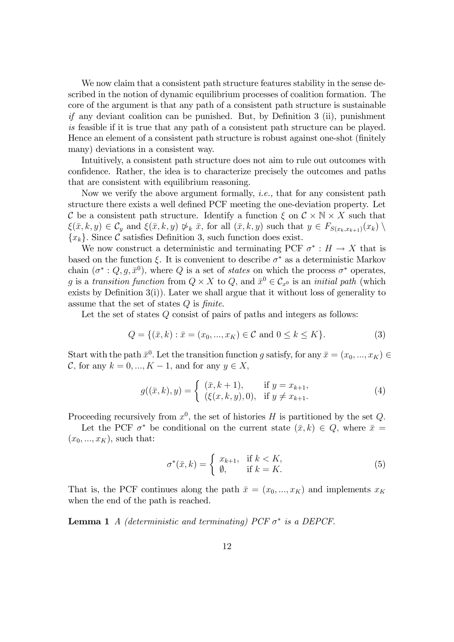We now claim that a consistent path structure features stability in the sense described in the notion of dynamic equilibrium processes of coalition formation. The core of the argument is that any path of a consistent path structure is sustainable if any deviant coalition can be punished. But, by Definition  $3$  (ii), punishment is feasible if it is true that any path of a consistent path structure can be played. Hence an element of a consistent path structure is robust against one-shot (Önitely many) deviations in a consistent way.

Intuitively, a consistent path structure does not aim to rule out outcomes with confidence. Rather, the idea is to characterize precisely the outcomes and paths that are consistent with equilibrium reasoning.

Now we verify the above argument formally, i.e., that for any consistent path structure there exists a well defined PCF meeting the one-deviation property. Let C be a consistent path structure. Identify a function  $\xi$  on  $C \times N \times X$  such that  $\xi(\bar{x}, k, y) \in C_y$  and  $\xi(\bar{x}, k, y) \not\triangleright_k \bar{x}$ , for all  $(\bar{x}, k, y)$  such that  $y \in F_{S(x_k, x_{k+1})}(x_k) \setminus$  ${x_k}$ . Since C satisfies Definition 3, such function does exist.

We now construct a deterministic and terminating PCF  $\sigma^* : H \to X$  that is based on the function  $\xi$ . It is convenient to describe  $\sigma^*$  as a deterministic Markov chain  $(\sigma^*: Q, g, \bar{x}^0)$ , where Q is a set of states on which the process  $\sigma^*$  operates, g is a transition function from  $Q \times X$  to  $Q$ , and  $\bar{x}^0 \in C_{x^0}$  is an *initial path* (which exists by Definition  $3(i)$ ). Later we shall argue that it without loss of generality to assume that the set of states  $Q$  is finite.

Let the set of states Q consist of pairs of paths and integers as follows:

$$
Q = \{ (\bar{x}, k) : \bar{x} = (x_0, ..., x_K) \in \mathcal{C} \text{ and } 0 \le k \le K \}. \tag{3}
$$

Start with the path  $\bar{x}^0$ . Let the transition function g satisfy, for any  $\bar{x} = (x_0, ..., x_K) \in$ C, for any  $k = 0, ..., K - 1$ , and for any  $y \in X$ ,

$$
g((\bar{x},k),y) = \begin{cases} (\bar{x},k+1), & \text{if } y = x_{k+1}, \\ (\xi(x,k,y),0), & \text{if } y \neq x_{k+1}. \end{cases}
$$
(4)

Proceeding recursively from  $x^0$ , the set of histories H is partitioned by the set Q.

Let the PCF  $\sigma^*$  be conditional on the current state  $(\bar{x}, k) \in Q$ , where  $\bar{x} =$  $(x_0, ..., x_K)$ , such that:

$$
\sigma^*(\bar{x}, k) = \begin{cases} x_{k+1}, & \text{if } k < K, \\ \emptyset, & \text{if } k = K. \end{cases}
$$
 (5)

That is, the PCF continues along the path  $\bar{x} = (x_0, ..., x_K)$  and implements  $x_K$ when the end of the path is reached.

**Lemma 1** A (deterministic and terminating) PCF  $\sigma^*$  is a DEPCF.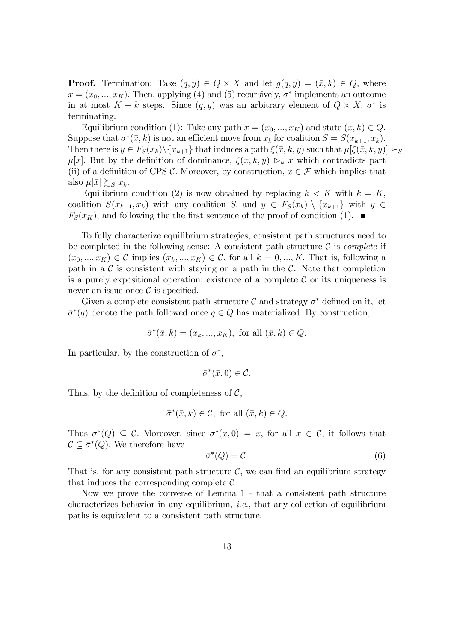**Proof.** Termination: Take  $(q, y) \in Q \times X$  and let  $g(q, y) = (\bar{x}, k) \in Q$ , where  $\bar{x} = (x_0, ..., x_K)$ . Then, applying (4) and (5) recursively,  $\sigma^*$  implements an outcome in at most  $K - k$  steps. Since  $(q, y)$  was an arbitrary element of  $Q \times X$ ,  $\sigma^*$  is terminating.

Equilibrium condition (1): Take any path  $\bar{x} = (x_0, ..., x_K)$  and state  $(\bar{x}, k) \in Q$ . Suppose that  $\sigma^*(\bar{x}, k)$  is not an efficient move from  $x_k$  for coalition  $S = S(x_{k+1}, x_k)$ . Then there is  $y \in F_S(x_k)\setminus\{x_{k+1}\}\$  that induces a path  $\xi(\bar{x}, k, y)$  such that  $\mu[\xi(\bar{x}, k, y)] \succ_S$  $\mu[\bar{x}]$ . But by the definition of dominance,  $\xi(\bar{x}, k, y) \geq k \bar{x}$  which contradicts part (ii) of a definition of CPS C. Moreover, by construction,  $\bar{x} \in \mathcal{F}$  which implies that also  $\mu[\bar{x}] \succsim_{S} x_{k}$ .

Equilibrium condition (2) is now obtained by replacing  $k < K$  with  $k = K$ ; coalition  $S(x_{k+1}, x_k)$  with any coalition S, and  $y \in F_S(x_k) \setminus \{x_{k+1}\}\$  with  $y \in$  $F_S(x_K)$ , and following the the first sentence of the proof of condition (1).

To fully characterize equilibrium strategies, consistent path structures need to be completed in the following sense: A consistent path structure  $\mathcal C$  is *complete* if  $(x_0, ..., x_K) \in \mathcal{C}$  implies  $(x_k, ..., x_K) \in \mathcal{C}$ , for all  $k = 0, ..., K$ . That is, following a path in a  $\mathcal C$  is consistent with staying on a path in the  $\mathcal C$ . Note that completion is a purely expositional operation; existence of a complete  $\mathcal C$  or its uniqueness is never an issue once  $\mathcal C$  is specified.

Given a complete consistent path structure  $\mathcal C$  and strategy  $\sigma^*$  defined on it, let  $\bar{\sigma}^*(q)$  denote the path followed once  $q \in Q$  has materialized. By construction,

$$
\bar{\sigma}^*(\bar{x}, k) = (x_k, ..., x_K),
$$
 for all  $(\bar{x}, k) \in Q$ .

In particular, by the construction of  $\sigma^*$ ,

$$
\bar{\sigma}^*(\bar{x},0) \in \mathcal{C}.
$$

Thus, by the definition of completeness of  $\mathcal{C}$ ,

 $\bar{\sigma}^*(\bar{x}, k) \in \mathcal{C}$ , for all  $(\bar{x}, k) \in Q$ .

Thus  $\bar{\sigma}^*(Q) \subseteq \mathcal{C}$ . Moreover, since  $\bar{\sigma}^*(\bar{x},0) = \bar{x}$ , for all  $\bar{x} \in \mathcal{C}$ , it follows that  $\mathcal{C} \subseteq \bar{\sigma}^*(Q)$ . We therefore have

$$
\bar{\sigma}^*(Q) = \mathcal{C}.\tag{6}
$$

That is, for any consistent path structure  $\mathcal{C}$ , we can find an equilibrium strategy that induces the corresponding complete  $\mathcal C$ 

Now we prove the converse of Lemma 1 - that a consistent path structure characterizes behavior in any equilibrium, *i.e.*, that any collection of equilibrium paths is equivalent to a consistent path structure.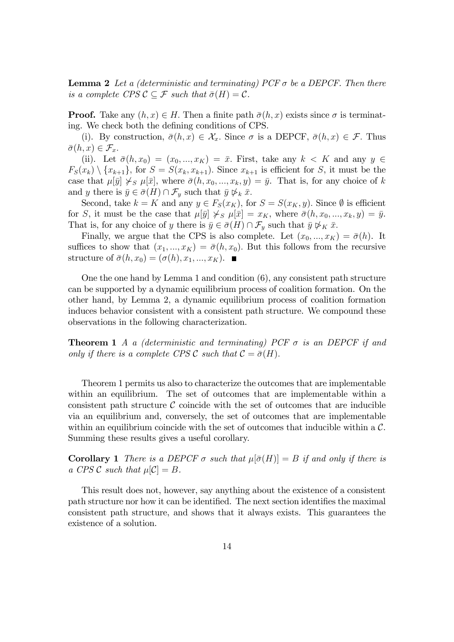**Lemma 2** Let a (deterministic and terminating) PCF  $\sigma$  be a DEPCF. Then there is a complete CPS  $\mathcal{C} \subseteq \mathcal{F}$  such that  $\bar{\sigma}(H) = \mathcal{C}$ .

**Proof.** Take any  $(h, x) \in H$ . Then a finite path  $\bar{\sigma}(h, x)$  exists since  $\sigma$  is terminating. We check both the defining conditions of CPS.

(i). By construction,  $\bar{\sigma}(h, x) \in \mathcal{X}_x$ . Since  $\sigma$  is a DEPCF,  $\bar{\sigma}(h, x) \in \mathcal{F}$ . Thus  $\bar{\sigma}(h, x) \in \mathcal{F}_x.$ 

(ii). Let  $\bar{\sigma}(h, x_0) = (x_0, ..., x_K) = \bar{x}$ . First, take any  $k < K$  and any  $y \in$  $F_S(x_k) \setminus \{x_{k+1}\}\text{, for } S = S(x_k, x_{k+1})\text{. Since } x_{k+1} \text{ is efficient for } S \text{, it must be the$ case that  $\mu[\bar{y}] \not\leq s \mu[\bar{x}],$  where  $\bar{\sigma}(h, x_0, ..., x_k, y) = \bar{y}$ . That is, for any choice of k and y there is  $\bar{y} \in \bar{\sigma}(H) \cap \mathcal{F}_y$  such that  $\bar{y} \not\triangleright_k \bar{x}$ .

Second, take  $k = K$  and any  $y \in F_S(x_K)$ , for  $S = S(x_K, y)$ . Since  $\emptyset$  is efficient for S, it must be the case that  $\mu[\bar{y}] \not\succ_{S} \mu[\bar{x}] = x_K$ , where  $\bar{\sigma}(h, x_0, ..., x_k, y) = \bar{y}$ . That is, for any choice of y there is  $\bar{y} \in \bar{\sigma}(H) \cap \mathcal{F}_y$  such that  $\bar{y} \not\triangleright_K \bar{x}$ .

Finally, we argue that the CPS is also complete. Let  $(x_0, ..., x_K) = \bar{\sigma}(h)$ . It suffices to show that  $(x_1, ..., x_K) = \overline{\sigma}(h, x_0)$ . But this follows from the recursive structure of  $\bar{\sigma}(h, x_0) = (\sigma(h), x_1, ..., x_K)$ .

One the one hand by Lemma 1 and condition (6), any consistent path structure can be supported by a dynamic equilibrium process of coalition formation. On the other hand, by Lemma 2, a dynamic equilibrium process of coalition formation induces behavior consistent with a consistent path structure. We compound these observations in the following characterization.

**Theorem 1** A a (deterministic and terminating) PCF  $\sigma$  is an DEPCF if and only if there is a complete CPS C such that  $C = \bar{\sigma}(H)$ .

Theorem 1 permits us also to characterize the outcomes that are implementable within an equilibrium. The set of outcomes that are implementable within a consistent path structure  $\mathcal C$  coincide with the set of outcomes that are inducible via an equilibrium and, conversely, the set of outcomes that are implementable within an equilibrium coincide with the set of outcomes that inducible within a  $\mathcal{C}$ . Summing these results gives a useful corollary.

**Corollary 1** There is a DEPCF  $\sigma$  such that  $\mu[\bar{\sigma}(H)] = B$  if and only if there is a CPS  $\mathcal C$  such that  $\mu[\mathcal C] = B$ .

This result does not, however, say anything about the existence of a consistent path structure nor how it can be identified. The next section identifies the maximal consistent path structure, and shows that it always exists. This guarantees the existence of a solution.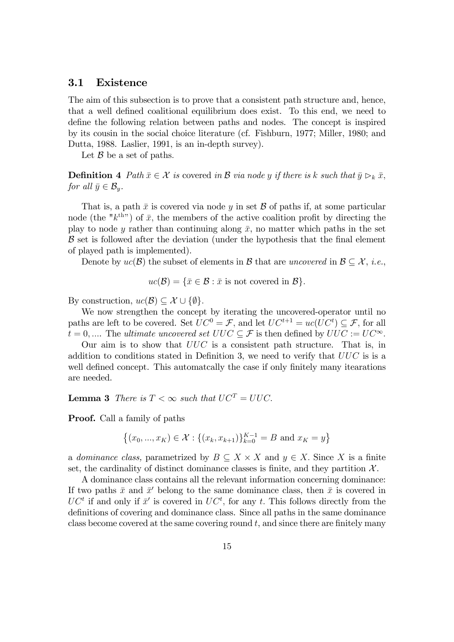#### 3.1 Existence

The aim of this subsection is to prove that a consistent path structure and, hence, that a well defined coalitional equilibrium does exist. To this end, we need to define the following relation between paths and nodes. The concept is inspired by its cousin in the social choice literature (cf. Fishburn, 1977; Miller, 1980; and Dutta, 1988. Laslier, 1991, is an in-depth survey).

Let  $\beta$  be a set of paths.

**Definition 4** Path  $\bar{x} \in \mathcal{X}$  is covered in B via node y if there is k such that  $\bar{y} \rhd_k \bar{x}$ , for all  $\bar{y} \in \mathcal{B}_y$ .

That is, a path  $\bar{x}$  is covered via node y in set  $\beta$  of paths if, at some particular node (the " $k^{\text{th}}$ ") of  $\bar{x}$ , the members of the active coalition profit by directing the play to node y rather than continuing along  $\bar{x}$ , no matter which paths in the set  $\beta$  set is followed after the deviation (under the hypothesis that the final element of played path is implemented).

Denote by  $uc(\mathcal{B})$  the subset of elements in  $\mathcal{B}$  that are uncovered in  $\mathcal{B} \subseteq \mathcal{X}$ , *i.e.*,

$$
uc(\mathcal{B}) = \{ \bar{x} \in \mathcal{B} : \bar{x} \text{ is not covered in } \mathcal{B} \}.
$$

By construction,  $uc(\mathcal{B}) \subset \mathcal{X} \cup \{\emptyset\}.$ 

We now strengthen the concept by iterating the uncovered-operator until no paths are left to be covered. Set  $UC^0 = \mathcal{F}$ , and let  $UC^{t+1} = uc(UC^t) \subseteq \mathcal{F}$ , for all  $t = 0, \dots$  The *ultimate uncovered set UUC*  $\subseteq \mathcal{F}$  is then defined by  $UUC := UC^{\infty}$ .

Our aim is to show that  $UUC$  is a consistent path structure. That is, in addition to conditions stated in Definition 3, we need to verify that  $UUC$  is is a well defined concept. This automatcally the case if only finitely many itearations are needed.

**Lemma 3** There is  $T < \infty$  such that  $UC^T = UUC$ .

Proof. Call a family of paths

$$
\{(x_0, ..., x_K) \in \mathcal{X} : \{(x_k, x_{k+1})\}_{k=0}^{K-1} = B \text{ and } x_K = y\}
$$

a dominance class, parametrized by  $B \subseteq X \times X$  and  $y \in X$ . Since X is a finite set, the cardinality of distinct dominance classes is finite, and they partition  $\mathcal{X}$ .

A dominance class contains all the relevant information concerning dominance: If two paths  $\bar{x}$  and  $\bar{x}'$  belong to the same dominance class, then  $\bar{x}$  is covered in  $UC<sup>t</sup>$  if and only if  $\bar{x}'$  is covered in  $UC<sup>t</sup>$ , for any t. This follows directly from the definitions of covering and dominance class. Since all paths in the same dominance class become covered at the same covering round  $t$ , and since there are finitely many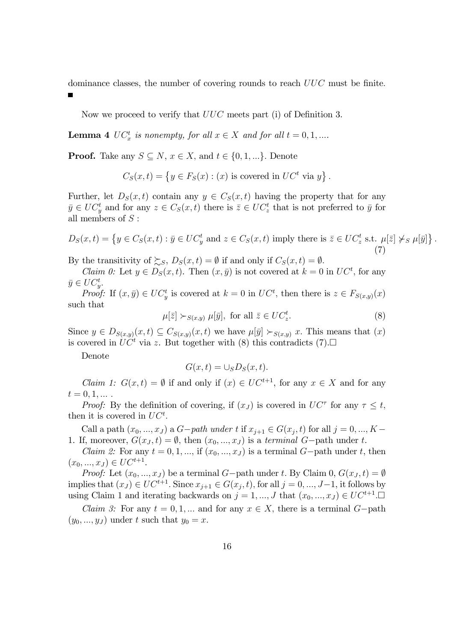dominance classes, the number of covering rounds to reach  $UUC$  must be finite.

Now we proceed to verify that  $UUC$  meets part (i) of Definition 3.

**Lemma 4**  $UC_x^t$  is nonempty, for all  $x \in X$  and for all  $t = 0, 1, ...$ 

**Proof.** Take any  $S \subseteq N$ ,  $x \in X$ , and  $t \in \{0, 1, ...\}$ . Denote

$$
C_S(x,t) = \{ y \in F_S(x) : (x) \text{ is covered in } UC^t \text{ via } y \}.
$$

Further, let  $D_S(x,t)$  contain any  $y \in C_S(x,t)$  having the property that for any  $\bar{y} \in UC_y^t$  and for any  $z \in C_S(x,t)$  there is  $\bar{z} \in UC_z^t$  that is not preferred to  $\bar{y}$  for all members of  $S$ :

$$
D_S(x,t) = \left\{ y \in C_S(x,t) : \bar{y} \in UC_y^t \text{ and } z \in C_S(x,t) \text{ imply there is } \bar{z} \in UC_z^t \text{ s.t. } \mu[\bar{z}] \nless \mu[\bar{y}] \right\}
$$
\n
$$
(7)
$$

By the transitivity of  $\sum_{S}$ ,  $D_S(x,t) = \emptyset$  if and only if  $C_S(x,t) = \emptyset$ .

*Claim 0:* Let  $y \in D_S(x, t)$ . Then  $(x, \bar{y})$  is not covered at  $k = 0$  in  $UC^t$ , for any  $\bar{y} \in UC^t_{y}$ .

*Proof:* If  $(x, \bar{y}) \in UC_y^t$  is covered at  $k = 0$  in  $UC^t$ , then there is  $z \in F_{S(x,y)}(x)$ such that

> $\mu[\bar{z}] \succ_{S(x,y)} \mu[\bar{y}], \text{ for all } \bar{z} \in UC_z^t$ : (8)

:

Since  $y \in D_{S(x,y)}(x, t) \subseteq C_{S(x,y)}(x, t)$  we have  $\mu[\bar{y}] \succ_{S(x,y)} x$ . This means that  $(x)$ is covered in  $UC^t$  via z. But together with (8) this contradicts (7).

Denote

$$
G(x,t) = \cup_S D_S(x,t).
$$

*Claim 1:*  $G(x,t) = \emptyset$  if and only if  $(x) \in UC^{t+1}$ , for any  $x \in X$  and for any  $t = 0, 1, ...$ 

*Proof:* By the definition of covering, if  $(x_J)$  is covered in  $UC^{\tau}$  for any  $\tau \leq t$ , then it is covered in  $UC<sup>t</sup>$ .

Call a path  $(x_0, ..., x_J)$  a  $G-path$  under t if  $x_{j+1} \in G(x_j, t)$  for all  $j = 0, ..., K -$ 1. If, moreover,  $G(x_J, t) = \emptyset$ , then  $(x_0, ..., x_J)$  is a terminal G-path under t.

*Claim 2:* For any  $t = 0, 1, ...,$  if  $(x_0, ..., x_J)$  is a terminal  $G$ -path under t, then  $(x_0, ..., x_J) \in UC^{t+1}.$ 

*Proof:* Let  $(x_0, ..., x_J)$  be a terminal G-path under t. By Claim 0,  $G(x_J, t) = \emptyset$ implies that  $(x_J) \in UC^{t+1}$ . Since  $x_{j+1} \in G(x_j, t)$ , for all  $j = 0, ..., J-1$ , it follows by using Claim 1 and iterating backwards on  $j = 1, ..., J$  that  $(x_0, ..., x_J) \in UC^{t+1}$ .

*Claim 3:* For any  $t = 0, 1, ...$  and for any  $x \in X$ , there is a terminal  $G$ -path  $(y_0, ..., y_J)$  under t such that  $y_0 = x$ .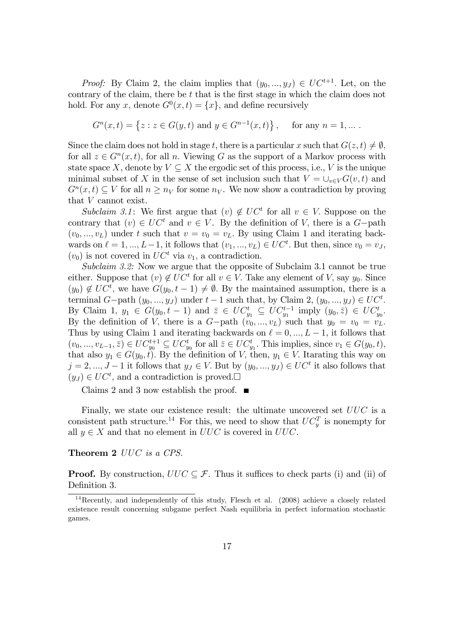*Proof:* By Claim 2, the claim implies that  $(y_0, ..., y_J) \in UC^{t+1}$ . Let, on the contrary of the claim, there be  $t$  that is the first stage in which the claim does not hold. For any x, denote  $G^0(x,t) = \{x\}$ , and define recursively

$$
G^{n}(x,t) = \{ z : z \in G(y,t) \text{ and } y \in G^{n-1}(x,t) \}, \text{ for any } n = 1,...
$$

Since the claim does not hold in stage t, there is a particular x such that  $G(z, t) \neq \emptyset$ , for all  $z \in G^n(x, t)$ , for all n. Viewing G as the support of a Markov process with state space X, denote by  $V \subseteq X$  the ergodic set of this process, i.e., V is the unique minimal subset of X in the sense of set inclusion such that  $V = \bigcup_{v \in V} G(v, t)$  and  $G^n(x,t) \subseteq V$  for all  $n \geq n_V$  for some  $n_V$ . We now show a contradiction by proving that V cannot exist.

Subclaim 3.1: We first argue that  $(v) \notin UC^t$  for all  $v \in V$ . Suppose on the contrary that  $(v) \in UC^t$  and  $v \in V$ . By the definition of V, there is a G-path  $(v_0, ..., v_L)$  under t such that  $v = v_0 = v_L$ . By using Claim 1 and iterating backwards on  $\ell = 1, ..., L-1$ , it follows that  $(v_1, ..., v_L) \in UC^t$ . But then, since  $v_0 = v_J$ ,  $(v_0)$  is not covered in  $UC^t$  via  $v_1$ , a contradiction.

Subclaim 3.2: Now we argue that the opposite of Subclaim 3.1 cannot be true either. Suppose that  $(v) \notin UC^t$  for all  $v \in V$ . Take any element of V, say  $y_0$ . Since  $(y_0) \notin UC^t$ , we have  $G(y_0, t-1) \neq \emptyset$ . By the maintained assumption, there is a terminal  $G$ -path  $(y_0, ..., y_J)$  under  $t - 1$  such that, by Claim 2,  $(y_0, ..., y_J) \in UC^t$ . By Claim 1,  $y_1 \in G(y_0, t-1)$  and  $\overline{z} \in UC_{y_1}^t \subseteq UC_{y_1}^{t-1}$  imply  $(y_0, \overline{z}) \in UC_{y_0}^t$ . By the definition of V, there is a  $G$ -path  $(v_0, ..., v_L)$  such that  $y_0 = v_0 = v_L$ . Thus by using Claim 1 and iterating backwards on  $\ell = 0, ..., L - 1$ , it follows that  $(v_0, ..., v_{L-1}, \overline{z}) \in UC_{y_0}^{t+1} \subseteq UC_{y_0}^t$  for all  $\overline{z} \in UC_{y_1}^t$ . This implies, since  $v_1 \in G(y_0, t)$ , that also  $y_1 \in G(y_0, t)$ . By the definition of V, then,  $y_1 \in V$ . Itarating this way on  $j = 2, ..., J - 1$  it follows that  $y_J \in V$ . But by  $(y_0, ..., y_J) \in UC^t$  it also follows that  $(y_J) \in UC^t$ , and a contradiction is proved.

Claims 2 and 3 now establish the proof.  $\blacksquare$ 

Finally, we state our existence result: the ultimate uncovered set  $UUC$  is a consistent path structure.<sup>14</sup> For this, we need to show that  $UC_y^T$  is nonempty for all  $y \in X$  and that no element in  $UUC$  is covered in  $UUC$ .

#### Theorem 2 UUC is a CPS.

**Proof.** By construction,  $UUC \subseteq \mathcal{F}$ . Thus it suffices to check parts (i) and (ii) of Definition 3.

<sup>14</sup>Recently, and independently of this study, Flesch et al. (2008) achieve a closely related existence result concerning subgame perfect Nash equilibria in perfect information stochastic games.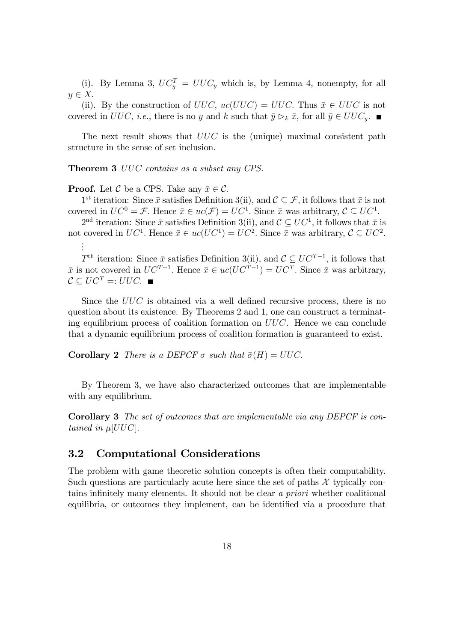(i). By Lemma 3,  $UC_y^T = UUC_y$  which is, by Lemma 4, nonempty, for all  $y \in X.$ 

(ii). By the construction of  $UUC$ ,  $uc(UUC) = UUC$ . Thus  $\bar{x} \in UUC$  is not covered in UUC, *i.e.*, there is no y and k such that  $\bar{y} \rhd_k \bar{x}$ , for all  $\bar{y} \in UUC_y$ .

The next result shows that  $UUC$  is the (unique) maximal consistent path structure in the sense of set inclusion:

Theorem 3 UUC contains as a subset any CPS.

**Proof.** Let  $\mathcal{C}$  be a CPS. Take any  $\bar{x} \in \mathcal{C}$ .

1<sup>st</sup> iteration: Since  $\bar{x}$  satisfies Definition 3(ii), and  $\mathcal{C} \subseteq \mathcal{F}$ , it follows that  $\bar{x}$  is not covered in  $UC^0 = \mathcal{F}$ . Hence  $\bar{x} \in uc(\mathcal{F}) = UC^1$ . Since  $\bar{x}$  was arbitrary,  $\mathcal{C} \subseteq UC^1$ .

 $2<sup>nd</sup>$  iteration: Since  $\bar{x}$  satisfies Definition 3(ii), and  $\mathcal{C} \subseteq UC^1$ , it follows that  $\bar{x}$  is not covered in  $UC^1$ . Hence  $\bar{x} \in uc(UC^1) = UC^2$ . Since  $\bar{x}$  was arbitrary,  $C \subseteq UC^2$ . . . .

 $T<sup>th</sup>$  iteration: Since  $\bar{x}$  satisfies Definition 3(ii), and  $\mathcal{C} \subseteq UC^{T-1}$ , it follows that  $\bar{x}$  is not covered in  $UC^{T-1}$ . Hence  $\bar{x} \in uc(UC^{T-1}) = UC^{T}$ . Since  $\bar{x}$  was arbitrary,  $\mathcal{C} \subset UC^T =: UUC.$ 

Since the  $UUC$  is obtained via a well defined recursive process, there is no question about its existence. By Theorems 2 and 1, one can construct a terminating equilibrium process of coalition formation on UUC. Hence we can conclude that a dynamic equilibrium process of coalition formation is guaranteed to exist.

**Corollary 2** There is a DEPCF  $\sigma$  such that  $\bar{\sigma}(H) = UUC$ .

By Theorem 3, we have also characterized outcomes that are implementable with any equilibrium.

Corollary 3 The set of outcomes that are implementable via any DEPCF is contained in  $\mu$ [UUC].

### 3.2 Computational Considerations

The problem with game theoretic solution concepts is often their computability. Such questions are particularly acute here since the set of paths  $\mathcal X$  typically contains infinitely many elements. It should not be clear a priori whether coalitional equilibria, or outcomes they implement, can be identified via a procedure that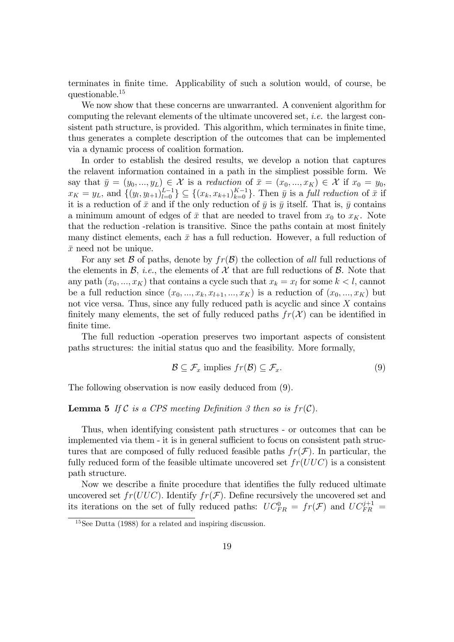terminates in finite time. Applicability of such a solution would, of course, be questionable.<sup>15</sup>

We now show that these concerns are unwarranted. A convenient algorithm for computing the relevant elements of the ultimate uncovered set, i.e. the largest consistent path structure, is provided. This algorithm, which terminates in finite time, thus generates a complete description of the outcomes that can be implemented via a dynamic process of coalition formation.

In order to establish the desired results, we develop a notion that captures the relavent information contained in a path in the simpliest possible form. We say that  $\bar{y} = (y_0, ..., y_L) \in \mathcal{X}$  is a reduction of  $\bar{x} = (x_0, ..., x_K) \in \mathcal{X}$  if  $x_0 = y_0$ ,  $x_K = y_L$ , and  $\{(y_l, y_{l+1})_{l=0}^{L-1}\}\subseteq \{(x_k, x_{k+1})_{k=0}^{K-1}\}\.$  Then  $\bar{y}$  is a full reduction of  $\bar{x}$  if it is a reduction of  $\bar{x}$  and if the only reduction of  $\bar{y}$  is  $\bar{y}$  itself. That is,  $\bar{y}$  contains a minimum amount of edges of  $\bar{x}$  that are needed to travel from  $x_0$  to  $x_K$ . Note that the reduction -relation is transitive. Since the paths contain at most finitely many distinct elements, each  $\bar{x}$  has a full reduction. However, a full reduction of  $\bar{x}$  need not be unique.

For any set B of paths, denote by  $fr(\mathcal{B})$  the collection of all full reductions of the elements in  $\mathcal{B}$ , *i.e.*, the elements of  $\mathcal{X}$  that are full reductions of  $\mathcal{B}$ . Note that any path  $(x_0, ..., x_K)$  that contains a cycle such that  $x_k = x_l$  for some  $k < l$ , cannot be a full reduction since  $(x_0, ..., x_k, x_{l+1}, ..., x_K)$  is a reduction of  $(x_0, ..., x_K)$  but not vice versa. Thus, since any fully reduced path is acyclic and since X contains finitely many elements, the set of fully reduced paths  $fr(X)$  can be identified in finite time.

The full reduction -operation preserves two important aspects of consistent paths structures: the initial status quo and the feasibility. More formally,

$$
\mathcal{B} \subseteq \mathcal{F}_x \text{ implies } fr(\mathcal{B}) \subseteq \mathcal{F}_x. \tag{9}
$$

The following observation is now easily deduced from (9).

#### **Lemma 5** If C is a CPS meeting Definition 3 then so is  $fr(\mathcal{C})$ .

Thus, when identifying consistent path structures - or outcomes that can be implemented via them - it is in general sufficient to focus on consistent path structures that are composed of fully reduced feasible paths  $fr(\mathcal{F})$ . In particular, the fully reduced form of the feasible ultimate uncovered set  $fr(UUC)$  is a consistent path structure.

Now we describe a finite procedure that identifies the fully reduced ultimate uncovered set  $fr(UUC)$ . Identify  $fr(\mathcal{F})$ . Define recursively the uncovered set and its iterations on the set of fully reduced paths:  $UC_{FR}^0 = fr(\mathcal{F})$  and  $UC_{FR}^{j+1} =$ 

<sup>15</sup>See Dutta (1988) for a related and inspiring discussion.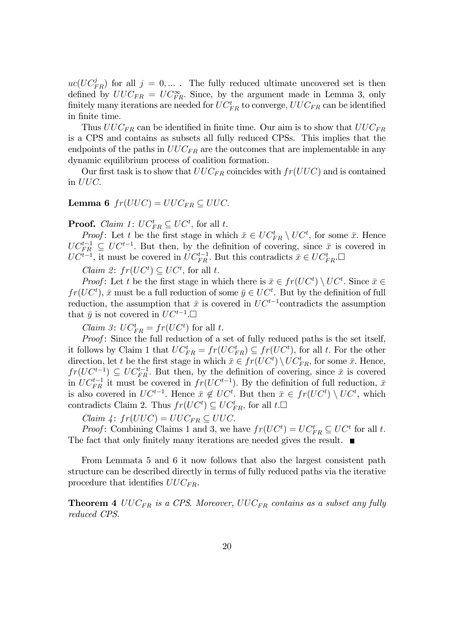$uc(UC_{FR}^j)$  for all  $j = 0, ...$ . The fully reduced ultimate uncovered set is then defined by  $UUC_{FR} = UC_{FR}^{\infty}$ . Since, by the argument made in Lemma 3, only finitely many iterations are needed for  $UC_{FR}^t$  to converge,  $UUC_{FR}$  can be identified in finite time.

Thus  $UUC_{FR}$  can be identified in finite time. Our aim is to show that  $UUC_{FR}$ is a CPS and contains as subsets all fully reduced CPSs. This implies that the endpoints of the paths in  $UUC_{FR}$  are the outcomes that are implementable in any dynamic equilibrium process of coalition formation.

Our first task is to show that  $UUC_{FR}$  coincides with  $fr(UUC)$  and is contained in UUC:

#### **Lemma 6**  $fr(UUC) = UUC_{FR} \subseteq UUC$ .

# **Proof.** *Claim 1:*  $UC_{FR}^t \subseteq UC^t$ , for all t.

*Proof*: Let t be the first stage in which  $\bar{x} \in UC_{FR}^{t} \setminus UC^{t}$ , for some  $\bar{x}$ . Hence  $UC_{FR}^{t-1} \subseteq UC^{t-1}$ . But then, by the definition of covering, since  $\bar{x}$  is covered in  $UC^{t-1}$ , it must be covered in  $UC_{FR}^{t-1}$ . But this contradicts  $\bar{x} \in UC_{FR}^{t}$ .

 $Claim 2: fr(UC<sup>t</sup>) \subseteq UC<sup>t</sup>$ , for all t.

*Proof*: Let t be the first stage in which there is  $\bar{x} \in fr(UC^t) \setminus UC^t$ . Since  $\bar{x} \in \text{rank}(UC^t)$  $fr(UC<sup>t</sup>)$ ,  $\bar{x}$  must be a full reduction of some  $\bar{y} \in UC<sup>t</sup>$ . But by the definition of full reduction, the assumption that  $\bar{x}$  is covered in  $UC^{t-1}$ contradicts the assumption that  $\bar{y}$  is not covered in  $UC^{t-1}$ .

*Claim 3:*  $UC_{FR}^t = fr(UC^t)$  for all t.

Proof: Since the full reduction of a set of fully reduced paths is the set itself, it follows by Claim 1 that  $UC_{FR}^t = fr(UC_{FR}^t) \subseteq fr(UC^t)$ , for all t. For the other direction, let t be the first stage in which  $\bar{x} \in fr(UC^t) \setminus UC_{FR}^t$ , for some  $\bar{x}$ . Hence,  $fr(UC^{t-1}) \subseteq UC_{FR}^{t-1}$ . But then, by the definition of covering, since  $\bar{x}$  is covered in  $UC_{FR}^{t-1}$  it must be covered in  $fr(UC^{t-1})$ . By the definition of full reduction,  $\bar{x}$ is also covered in  $UC^{t-1}$ . Hence  $\bar{x} \notin UC^t$ . But then  $\bar{x} \in fr(UC^t) \setminus UC^t$ , which contradicts Claim 2. Thus  $fr(UC<sup>t</sup>) \subseteq UC<sup>t</sup><sub>FR</sub>$ , for all  $t.\Box$ 

Claim  $\varphi$ :  $fr(UUC) = UUC_{FR} \subseteq UUC$ .

*Proof*: Combining Claims 1 and 3, we have  $fr(UC<sup>t</sup>) = UC<sup>t</sup><sub>FR</sub> \subseteq UC<sup>t</sup>$  for all t. The fact that only finitely many iterations are needed gives the result.  $\blacksquare$ 

From Lemmata 5 and 6 it now follows that also the largest consistent path structure can be described directly in terms of fully reduced paths via the iterative procedure that identifies  $UUC_{FR}$ .

**Theorem 4**  $UUC_{FR}$  is a CPS. Moreover,  $UUC_{FR}$  contains as a subset any fully reduced CPS.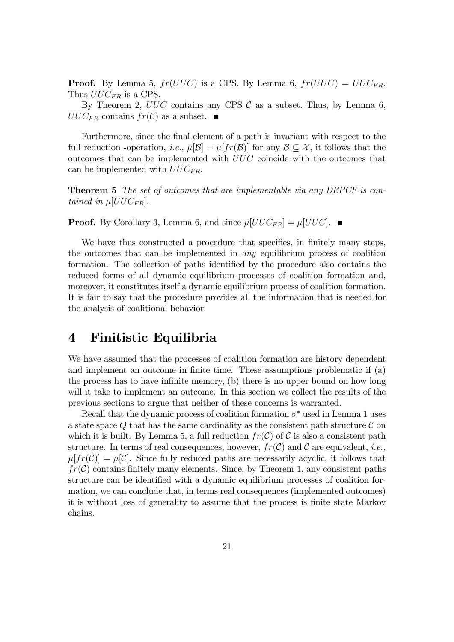**Proof.** By Lemma 5,  $fr(UUC)$  is a CPS. By Lemma 6,  $fr(UUC) = UUC_{FR}$ . Thus  $UUC_{FR}$  is a CPS.

By Theorem 2,  $UUC$  contains any CPS  $C$  as a subset. Thus, by Lemma 6,  $UUC_{FR}$  contains  $fr(\mathcal{C})$  as a subset.  $\blacksquare$ 

Furthermore, since the final element of a path is invariant with respect to the full reduction -operation, *i.e.*,  $\mu[\mathcal{B}] = \mu[f(\mathcal{B})]$  for any  $\mathcal{B} \subseteq \mathcal{X}$ , it follows that the outcomes that can be implemented with UUC coincide with the outcomes that can be implemented with  $UUC_{FR}$ .

Theorem 5 The set of outcomes that are implementable via any DEPCF is contained in  $\mu[UUC_{FR}]$ .

**Proof.** By Corollary 3, Lemma 6, and since  $\mu[UUC_{FR}] = \mu[UUC]$ .

We have thus constructed a procedure that specifies, in finitely many steps, the outcomes that can be implemented in any equilibrium process of coalition formation. The collection of paths identified by the procedure also contains the reduced forms of all dynamic equilibrium processes of coalition formation and, moreover, it constitutes itself a dynamic equilibrium process of coalition formation. It is fair to say that the procedure provides all the information that is needed for the analysis of coalitional behavior.

### 4 Finitistic Equilibria

We have assumed that the processes of coalition formation are history dependent and implement an outcome in finite time. These assumptions problematic if (a) the process has to have infinite memory, (b) there is no upper bound on how long will it take to implement an outcome. In this section we collect the results of the previous sections to argue that neither of these concerns is warranted.

Recall that the dynamic process of coalition formation  $\sigma^*$  used in Lemma 1 uses a state space Q that has the same cardinality as the consistent path structure  $\mathcal C$  on which it is built. By Lemma 5, a full reduction  $fr(\mathcal{C})$  of C is also a consistent path structure. In terms of real consequences, however,  $fr(\mathcal{C})$  and  $\mathcal{C}$  are equivalent, *i.e.*,  $\mu[f_T(\mathcal{C})] = \mu[\mathcal{C}]$ . Since fully reduced paths are necessarily acyclic, it follows that  $fr(\mathcal{C})$  contains finitely many elements. Since, by Theorem 1, any consistent paths structure can be identified with a dynamic equilibrium processes of coalition formation, we can conclude that, in terms real consequences (implemented outcomes) it is without loss of generality to assume that the process is Önite state Markov chains: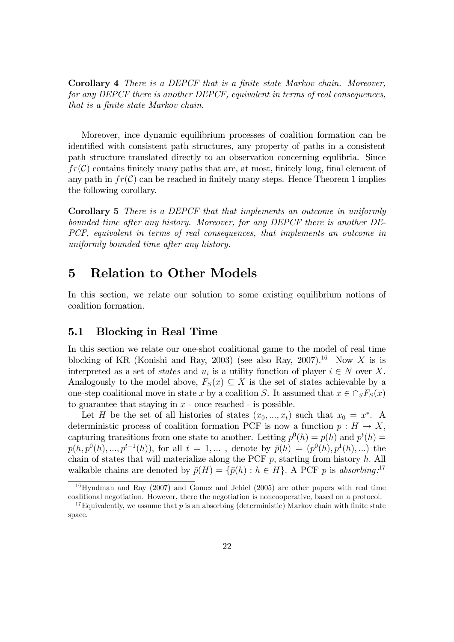Corollary 4 There is a DEPCF that is a finite state Markov chain. Moreover, for any DEPCF there is another DEPCF, equivalent in terms of real consequences, that is a finite state Markov chain.

Moreover, ince dynamic equilibrium processes of coalition formation can be identified with consistent path structures, any property of paths in a consistent path structure translated directly to an observation concerning equlibria. Since  $fr(\mathcal{C})$  contains finitely many paths that are, at most, finitely long, final element of any path in  $fr(\mathcal{C})$  can be reached in finitely many steps. Hence Theorem 1 implies the following corollary.

Corollary 5 There is a DEPCF that that implements an outcome in uniformly bounded time after any history. Moreover, for any DEPCF there is another DE-PCF, equivalent in terms of real consequences, that implements an outcome in uniformly bounded time after any history.

### 5 Relation to Other Models

In this section, we relate our solution to some existing equilibrium notions of coalition formation.

### 5.1 Blocking in Real Time

In this section we relate our one-shot coalitional game to the model of real time blocking of KR (Konishi and Ray, 2003) (see also Ray, 2007).<sup>16</sup> Now X is is interpreted as a set of *states* and  $u_i$  is a utility function of player  $i \in N$  over X. Analogously to the model above,  $F_S(x) \subseteq X$  is the set of states achievable by a one-step coalitional move in state x by a coalition S. It assumed that  $x \in \bigcap_S F_S(x)$ to guarantee that staying in  $x$  - once reached - is possible.

Let H be the set of all histories of states  $(x_0, ..., x_t)$  such that  $x_0 = x^*$ . A deterministic process of coalition formation PCF is now a function  $p : H \to X$ , capturing transitions from one state to another. Letting  $p^0(h) = p(h)$  and  $p^t(h) =$  $p(h, p^0(h), ..., p^{t-1}(h)),$  for all  $t = 1, ...$ , denote by  $\bar{p}(h) = (p^0(h), p^1(h), ...)$  the chain of states that will materialize along the PCF  $p$ , starting from history  $h$ . All walkable chains are denoted by  $\bar{p}(H) = {\bar{p}(h) : h \in H}$ . A PCF p is absorbing.<sup>17</sup>

 $16$ Hyndman and Ray (2007) and Gomez and Jehiel (2005) are other papers with real time coalitional negotiation. However, there the negotiation is noncooperative, based on a protocol.

<sup>&</sup>lt;sup>17</sup>Equivalently, we assume that p is an absorbing (deterministic) Markov chain with finite state space.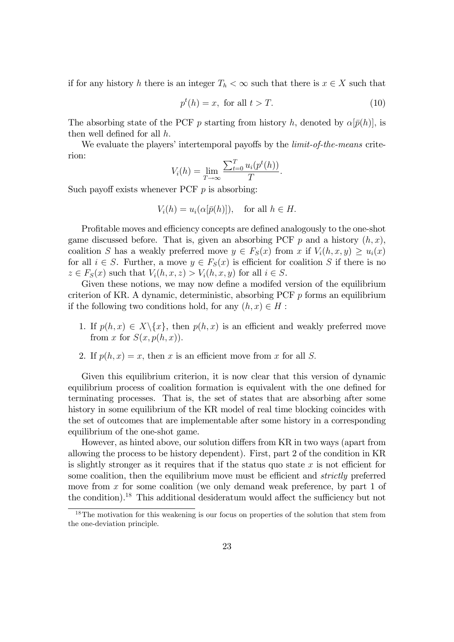if for any history h there is an integer  $T_h < \infty$  such that there is  $x \in X$  such that

$$
p^t(h) = x, \text{ for all } t > T. \tag{10}
$$

The absorbing state of the PCF p starting from history h, denoted by  $\alpha[\bar{p}(h)]$ , is then well defined for all  $h$ .

We evaluate the players' intertemporal payoffs by the *limit-of-the-means* criterion:

$$
V_i(h) = \lim_{T \to \infty} \frac{\sum_{t=0}^T u_i(p^t(h))}{T}.
$$

Such payoff exists whenever PCF  $p$  is absorbing:

$$
V_i(h) = u_i(\alpha[\bar{p}(h)]), \text{ for all } h \in H.
$$

Profitable moves and efficiency concepts are defined analogously to the one-shot game discussed before. That is, given an absorbing PCF p and a history  $(h, x)$ , coalition S has a weakly preferred move  $y \in F_S(x)$  from x if  $V_i(h, x, y) \geq u_i(x)$ for all  $i \in S$ . Further, a move  $y \in F_S(x)$  is efficient for coalition S if there is no  $z \in F_S(x)$  such that  $V_i(h, x, z) > V_i(h, x, y)$  for all  $i \in S$ .

Given these notions, we may now define a modifed version of the equilibrium criterion of KR. A dynamic, deterministic, absorbing PCF  $p$  forms an equilibrium if the following two conditions hold, for any  $(h, x) \in H$ :

- 1. If  $p(h, x) \in X \setminus \{x\}$ , then  $p(h, x)$  is an efficient and weakly preferred move from x for  $S(x, p(h, x))$ .
- 2. If  $p(h, x) = x$ , then x is an efficient move from x for all S.

Given this equilibrium criterion, it is now clear that this version of dynamic equilibrium process of coalition formation is equivalent with the one defined for terminating processes. That is, the set of states that are absorbing after some history in some equilibrium of the KR model of real time blocking coincides with the set of outcomes that are implementable after some history in a corresponding equilibrium of the one-shot game.

However, as hinted above, our solution differs from KR in two ways (apart from allowing the process to be history dependent). First, part 2 of the condition in KR is slightly stronger as it requires that if the status quo state  $x$  is not efficient for some coalition, then the equilibrium move must be efficient and *strictly* preferred move from  $x$  for some coalition (we only demand weak preference, by part 1 of the condition).<sup>18</sup> This additional desideratum would affect the sufficiency but not

 $18$ The motivation for this weakening is our focus on properties of the solution that stem from the one-deviation principle.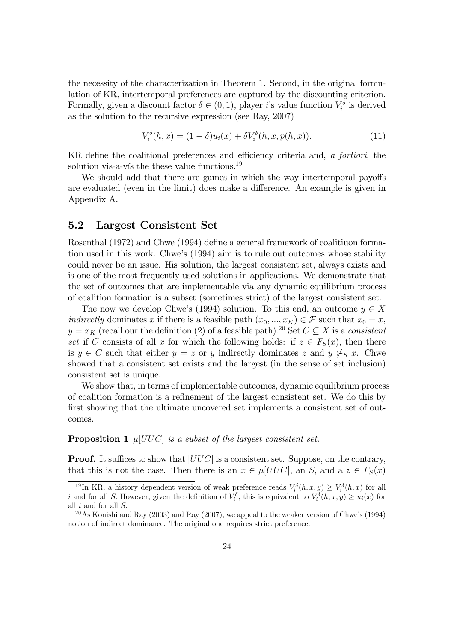the necessity of the characterization in Theorem 1. Second, in the original formulation of KR, intertemporal preferences are captured by the discounting criterion. Formally, given a discount factor  $\delta \in (0,1)$ , player i's value function  $V_i^{\delta}$  is derived as the solution to the recursive expression (see Ray, 2007)

$$
V_i^{\delta}(h, x) = (1 - \delta)u_i(x) + \delta V_i^{\delta}(h, x, p(h, x)).
$$
\n(11)

KR define the coalitional preferences and efficiency criteria and,  $\alpha$  fortiori, the solution vis-a-vis the these value functions. $^{19}$ 

We should add that there are games in which the way intertemporal payoffs are evaluated (even in the limit) does make a difference. An example is given in Appendix A.

### 5.2 Largest Consistent Set

Rosenthal (1972) and Chwe (1994) define a general framework of coalitiuon formation used in this work. Chwe's (1994) aim is to rule out outcomes whose stability could never be an issue. His solution, the largest consistent set, always exists and is one of the most frequently used solutions in applications. We demonstrate that the set of outcomes that are implementable via any dynamic equilibrium process of coalition formation is a subset (sometimes strict) of the largest consistent set.

The now we develop Chwe's (1994) solution. To this end, an outcome  $y \in X$ indirectly dominates x if there is a feasible path  $(x_0, ..., x_K) \in \mathcal{F}$  such that  $x_0 = x$ ;  $y = x_K$  (recall our the definition (2) of a feasible path).<sup>20</sup> Set  $C \subseteq X$  is a consistent set if C consists of all x for which the following holds: if  $z \in F_S(x)$ , then there is  $y \in C$  such that either  $y = z$  or y indirectly dominates z and  $y \nless g x$ . Chwe showed that a consistent set exists and the largest (in the sense of set inclusion) consistent set is unique.

We show that, in terms of implementable outcomes, dynamic equilibrium process of coalition formation is a reÖnement of the largest consistent set. We do this by first showing that the ultimate uncovered set implements a consistent set of outcomes.

#### **Proposition 1**  $\mu$ [UUC] is a subset of the largest consistent set.

**Proof.** It suffices to show that  $[UUC]$  is a consistent set. Suppose, on the contrary, that this is not the case. Then there is an  $x \in \mu[UUC]$ , an S, and a  $z \in F_S(x)$ 

<sup>&</sup>lt;sup>19</sup>In KR, a history dependent version of weak preference reads  $V_i^{\delta}(h, x, y) \ge V_i^{\delta}(h, x)$  for all i and for all S. However, given the definition of  $V_i^{\delta}$ , this is equivalent to  $V_i^{\delta}(h, x, y) \geq u_i(x)$  for all  $i$  and for all  $S$ .

<sup>&</sup>lt;sup>20</sup>As Konishi and Ray (2003) and Ray (2007), we appeal to the weaker version of Chwe's (1994) notion of indirect dominance. The original one requires strict preference.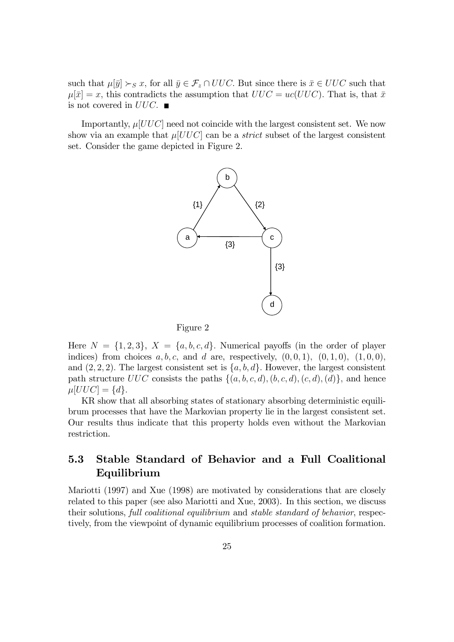such that  $\mu[\bar{y}] \succ_S x$ , for all  $\bar{y} \in \mathcal{F}_z \cap UUC$ . But since there is  $\bar{x} \in UUC$  such that  $\mu[\bar{x}] = x$ , this contradicts the assumption that  $UUC = uc(UUC)$ . That is, that  $\bar{x}$ is not covered in  $UUC.$ 

Importantly,  $\mu[UUC]$  need not coincide with the largest consistent set. We now show via an example that  $\mu[UUC]$  can be a *strict* subset of the largest consistent set. Consider the game depicted in Figure 2.





Here  $N = \{1,2,3\}, X = \{a,b,c,d\}.$  Numerical payoffs (in the order of player indices) from choices  $a, b, c$ , and  $d$  are, respectively,  $(0, 0, 1), (0, 1, 0), (1, 0, 0)$ ; and  $(2, 2, 2)$ . The largest consistent set is  $\{a, b, d\}$ . However, the largest consistent path structure  $UUC$  consists the paths  $\{(a, b, c, d), (b, c, d), (c, d), (d)\}\$ , and hence  $\mu[UUC] = \{d\}.$ 

KR show that all absorbing states of stationary absorbing deterministic equilibrum processes that have the Markovian property lie in the largest consistent set. Our results thus indicate that this property holds even without the Markovian restriction.

### 5.3 Stable Standard of Behavior and a Full Coalitional Equilibrium

Mariotti (1997) and Xue (1998) are motivated by considerations that are closely related to this paper (see also Mariotti and Xue, 2003). In this section, we discuss their solutions, full coalitional equilibrium and stable standard of behavior, respectively, from the viewpoint of dynamic equilibrium processes of coalition formation.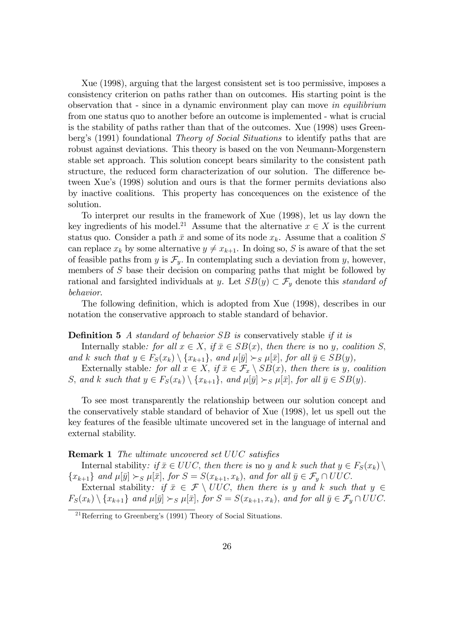Xue (1998), arguing that the largest consistent set is too permissive, imposes a consistency criterion on paths rather than on outcomes. His starting point is the observation that - since in a dynamic environment play can move in equilibrium from one status quo to another before an outcome is implemented - what is crucial is the stability of paths rather than that of the outcomes. Xue (1998) uses Greenberg's (1991) foundational *Theory of Social Situations* to identify paths that are robust against deviations. This theory is based on the von Neumann-Morgenstern stable set approach. This solution concept bears similarity to the consistent path structure, the reduced form characterization of our solution. The difference between Xue's (1998) solution and ours is that the former permits deviations also by inactive coalitions. This property has concequences on the existence of the solution.

To interpret our results in the framework of Xue (1998), let us lay down the key ingredients of his model.<sup>21</sup> Assume that the alternative  $x \in X$  is the current status quo. Consider a path  $\bar{x}$  and some of its node  $x_k$ . Assume that a coalition S can replace  $x_k$  by some alternative  $y \neq x_{k+1}$ . In doing so, S is aware of that the set of feasible paths from y is  $\mathcal{F}_y$ . In contemplating such a deviation from y, however, members of S base their decision on comparing paths that might be followed by rational and farsighted individuals at y. Let  $SB(y) \subset \mathcal{F}_y$  denote this standard of behavior.

The following definition, which is adopted from Xue (1998), describes in our notation the conservative approach to stable standard of behavior.

#### **Definition 5** A standard of behavior SB is conservatively stable if it is

Internally stable: for all  $x \in X$ , if  $\bar{x} \in SB(x)$ , then there is no y, coalition S, and k such that  $y \in F_S(x_k) \setminus \{x_{k+1}\}\$ , and  $\mu[\bar{y}] \succ_S \mu[\bar{x}]$ , for all  $\bar{y} \in SB(y)$ ,

Externally stable: for all  $x \in X$ , if  $\bar{x} \in \mathcal{F}_x \setminus SB(x)$ , then there is y, coalition S, and k such that  $y \in F_S(x_k) \setminus \{x_{k+1}\}\$ , and  $\mu[\bar{y}] \succ_S \mu[\bar{x}]$ , for all  $\bar{y} \in SB(y)$ .

To see most transparently the relationship between our solution concept and the conservatively stable standard of behavior of Xue (1998), let us spell out the key features of the feasible ultimate uncovered set in the language of internal and external stability.

#### **Remark 1** The ultimate uncovered set UUC satisfies

Internal stability: if  $\bar{x} \in UUC$ , then there is no y and k such that  $y \in F_S(x_k) \setminus$  $\{x_{k+1}\}\$  and  $\mu[\bar{y}] \succ_S \mu[\bar{x}],$  for  $S = S(x_{k+1}, x_k)$ , and for all  $\bar{y} \in \mathcal{F}_y \cap UUC$ .

External stability: if  $\bar{x} \in \mathcal{F} \setminus UUC$ , then there is y and k such that  $y \in \mathcal{F}$  $F_S(x_k) \setminus \{x_{k+1}\}\$ and  $\mu[\bar{y}] \succ_S \mu[\bar{x}],$  for  $S = S(x_{k+1}, x_k)$ , and for all  $\bar{y} \in \mathcal{F}_y \cap UUC$ .

 $\sqrt[21]{\text{Referring to Greenberg's (1991)}$  Theory of Social Situations.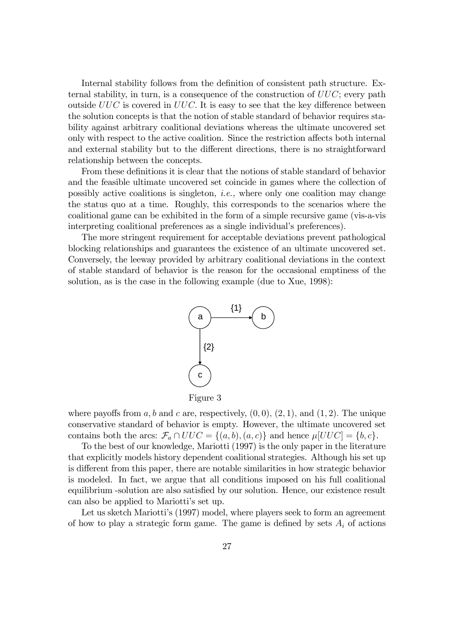Internal stability follows from the definition of consistent path structure. External stability, in turn, is a consequence of the construction of  $UUC$ ; every path outside  $UUC$  is covered in  $UUC$ . It is easy to see that the key difference between the solution concepts is that the notion of stable standard of behavior requires stability against arbitrary coalitional deviations whereas the ultimate uncovered set only with respect to the active coalition. Since the restriction affects both internal and external stability but to the different directions, there is no straightforward relationship between the concepts.

From these definitions it is clear that the notions of stable standard of behavior and the feasible ultimate uncovered set coincide in games where the collection of possibly active coalitions is singleton, i.e., where only one coalition may change the status quo at a time. Roughly, this corresponds to the scenarios where the coalitional game can be exhibited in the form of a simple recursive game (vis-a-vis interpreting coalitional preferences as a single individual's preferences).

The more stringent requirement for acceptable deviations prevent pathological blocking relationships and guarantees the existence of an ultimate uncovered set. Conversely, the leeway provided by arbitrary coalitional deviations in the context of stable standard of behavior is the reason for the occasional emptiness of the solution, as is the case in the following example (due to Xue, 1998):



where payoffs from a, b and c are, respectively,  $(0,0)$ ,  $(2,1)$ , and  $(1,2)$ . The unique conservative standard of behavior is empty. However, the ultimate uncovered set contains both the arcs:  $\mathcal{F}_a \cap UUC = \{(a, b), (a, c)\}\$ and hence  $\mu[UUC] = \{b, c\}.$ 

To the best of our knowledge, Mariotti (1997) is the only paper in the literature that explicitly models history dependent coalitional strategies. Although his set up is different from this paper, there are notable similarities in how strategic behavior is modeled. In fact, we argue that all conditions imposed on his full coalitional equilibrium -solution are also satisfied by our solution. Hence, our existence result can also be applied to Mariottiís set up.

Let us sketch Mariotti's (1997) model, where players seek to form an agreement of how to play a strategic form game. The game is defined by sets  $A_i$  of actions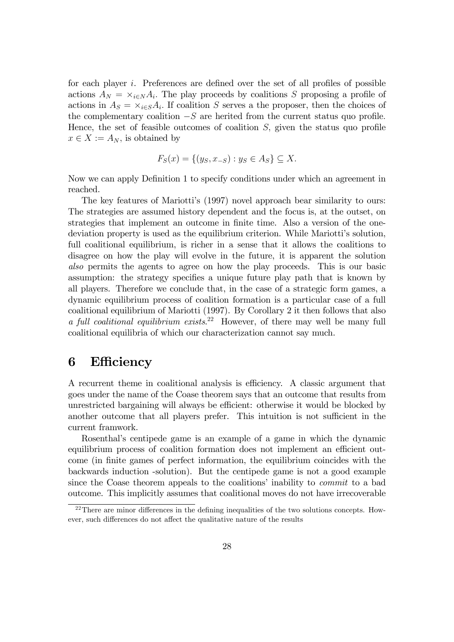for each player  $i$ . Preferences are defined over the set of all profiles of possible actions  $A_N = \times_{i \in N} A_i$ . The play proceeds by coalitions S proposing a profile of actions in  $A_S = \times_{i \in S} A_i$ . If coalition S serves a the proposer, then the choices of the complementary coalition  $-S$  are herited from the current status quo profile. Hence, the set of feasible outcomes of coalition  $S$ , given the status quo profile  $x \in X := A_N$ , is obtained by

$$
F_S(x) = \{(y_S, x_{-S}) : y_S \in A_S\} \subseteq X.
$$

Now we can apply Definition 1 to specify conditions under which an agreement in reached.

The key features of Mariottiís (1997) novel approach bear similarity to ours: The strategies are assumed history dependent and the focus is, at the outset, on strategies that implement an outcome in finite time. Also a version of the onedeviation property is used as the equilibrium criterion. While Mariotti's solution, full coalitional equilibrium, is richer in a sense that it allows the coalitions to disagree on how the play will evolve in the future, it is apparent the solution also permits the agents to agree on how the play proceeds. This is our basic assumption: the strategy specifies a unique future play path that is known by all players. Therefore we conclude that, in the case of a strategic form games, a dynamic equilibrium process of coalition formation is a particular case of a full coalitional equilibrium of Mariotti (1997). By Corollary 2 it then follows that also a full coalitional equilibrium exists.<sup>22</sup> However, of there may well be many full coalitional equilibria of which our characterization cannot say much.

### 6 Efficiency

A recurrent theme in coalitional analysis is efficiency. A classic argument that goes under the name of the Coase theorem says that an outcome that results from unrestricted bargaining will always be efficient: otherwise it would be blocked by another outcome that all players prefer. This intuition is not sufficient in the current framwork.

Rosenthalís centipede game is an example of a game in which the dynamic equilibrium process of coalition formation does not implement an efficient outcome (in finite games of perfect information, the equilibrium coincides with the backwards induction -solution). But the centipede game is not a good example since the Coase theorem appeals to the coalitions' inability to *commit* to a bad outcome. This implicitly assumes that coalitional moves do not have irrecoverable

 $22$ There are minor differences in the defining inequalities of the two solutions concepts. However, such differences do not affect the qualitative nature of the results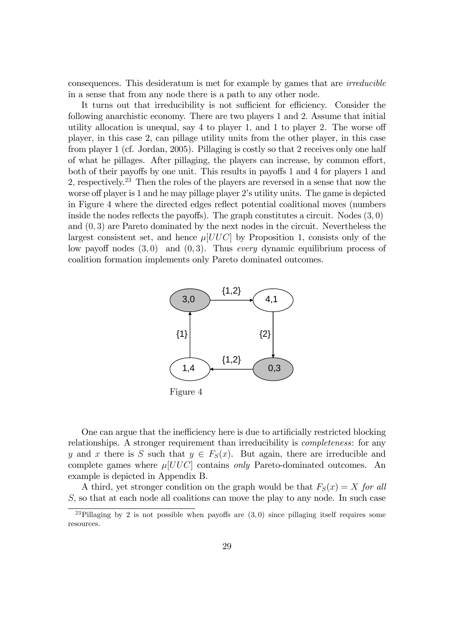consequences. This desideratum is met for example by games that are irreducible in a sense that from any node there is a path to any other node.

It turns out that irreducibility is not sufficient for efficiency. Consider the following anarchistic economy. There are two players 1 and 2: Assume that initial utility allocation is unequal, say  $4$  to player 1, and 1 to player 2. The worse of player, in this case 2, can pillage utility units from the other player, in this case from player 1 (cf. Jordan, 2005). Pillaging is costly so that 2 receives only one half of what he pillages. After pillaging, the players can increase, by common effort, both of their payoffs by one unit. This results in payoffs 1 and 4 for players 1 and 2, respectively.<sup>23</sup> Then the roles of the players are reversed in a sense that now the worse off player is 1 and he may pillage player 2's utility units. The game is depicted in Figure 4 where the directed edges reflect potential coalitional moves (numbers inside the nodes reflects the payoffs). The graph constitutes a circuit. Nodes  $(3, 0)$ and (0; 3) are Pareto dominated by the next nodes in the circuit. Nevertheless the largest consistent set, and hence  $\mu[UUC]$  by Proposition 1, consists only of the low payoff nodes  $(3,0)$  and  $(0,3)$ . Thus every dynamic equilibrium process of coalition formation implements only Pareto dominated outcomes.



Figure 4

One can argue that the inefficiency here is due to artificially restricted blocking relationships. A stronger requirement than irreducibility is *completeness*: for any y and x there is S such that  $y \in F_S(x)$ . But again, there are irreducible and complete games where  $\mu[UUC]$  contains only Pareto-dominated outcomes. An example is depicted in Appendix B.

A third, yet stronger condition on the graph would be that  $F_S(x) = X$  for all S, so that at each node all coalitions can move the play to any node. In such case

<sup>&</sup>lt;sup>23</sup>Pillaging by 2 is not possible when payoffs are  $(3,0)$  since pillaging itself requires some resources.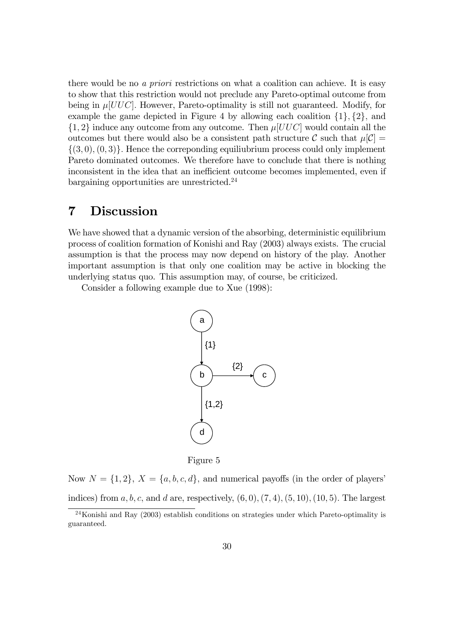there would be no a priori restrictions on what a coalition can achieve. It is easy to show that this restriction would not preclude any Pareto-optimal outcome from being in  $\mu[UUC]$ . However, Pareto-optimality is still not guaranteed. Modify, for example the game depicted in Figure 4 by allowing each coalition  $\{1\}$ ,  $\{2\}$ , and  $\{1, 2\}$  induce any outcome from any outcome. Then  $\mu[UUC]$  would contain all the outcomes but there would also be a consistent path structure C such that  $\mu[\mathcal{C}] =$  $\{(3,0),(0,3)\}.$  Hence the correponding equiliubrium process could only implement Pareto dominated outcomes. We therefore have to conclude that there is nothing inconsistent in the idea that an inefficient outcome becomes implemented, even if bargaining opportunities are unrestricted.<sup>24</sup>

### 7 Discussion

We have showed that a dynamic version of the absorbing, deterministic equilibrium process of coalition formation of Konishi and Ray (2003) always exists. The crucial assumption is that the process may now depend on history of the play. Another important assumption is that only one coalition may be active in blocking the underlying status quo. This assumption may, of course, be criticized.

Consider a following example due to Xue (1998):



Figure 5

Now  $N = \{1, 2\}, X = \{a, b, c, d\},\$ and numerical payoffs (in the order of players) indices) from a, b, c, and d are, respectively,  $(6,0)$ ,  $(7,4)$ ,  $(5,10)$ ,  $(10,5)$ . The largest

 $^{24}$ Konishi and Ray (2003) establish conditions on strategies under which Pareto-optimality is guaranteed.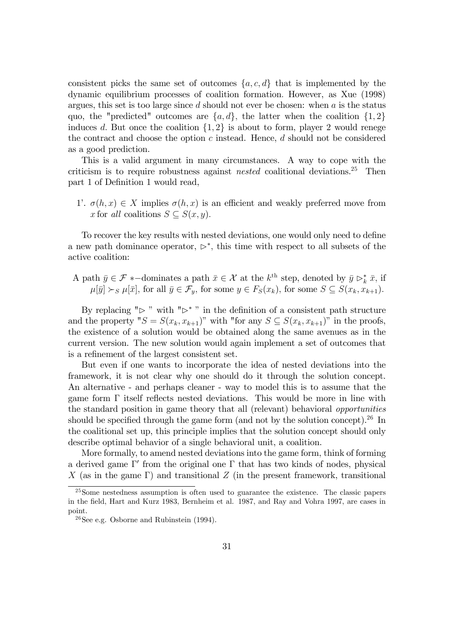consistent picks the same set of outcomes  $\{a, c, d\}$  that is implemented by the dynamic equilibrium processes of coalition formation: However, as Xue (1998) argues, this set is too large since  $d$  should not ever be chosen: when  $a$  is the status quo, the "predicted" outcomes are  $\{a, d\}$ , the latter when the coalition  $\{1, 2\}$ induces d. But once the coalition  $\{1,2\}$  is about to form, player 2 would renege the contract and choose the option  $c$  instead. Hence,  $d$  should not be considered as a good prediction.

This is a valid argument in many circumstances. A way to cope with the criticism is to require robustness against *nested* coalitional deviations.<sup>25</sup> Then part 1 of Definition 1 would read,

1'.  $\sigma(h, x) \in X$  implies  $\sigma(h, x)$  is an efficient and weakly preferred move from x for all coalitions  $S \subseteq S(x, y)$ .

To recover the key results with nested deviations, one would only need to define a new path dominance operator,  $\triangleright^*$ , this time with respect to all subsets of the active coalition:

A path  $\bar{y} \in \mathcal{F}$  \*-dominates a path  $\bar{x} \in \mathcal{X}$  at the k<sup>th</sup> step, denoted by  $\bar{y} \triangleright_k^* \bar{x}$ , if  $\mu[\bar{y}] \succ_S \mu[\bar{x}],$  for all  $\bar{y} \in \mathcal{F}_y$ , for some  $y \in F_S(x_k)$ , for some  $S \subseteq S(x_k, x_{k+1}).$ 

By replacing " $\triangleright$ " with " $\triangleright^*$ " in the definition of a consistent path structure and the property " $S = S(x_k, x_{k+1})$ " with "for any  $S \subseteq S(x_k, x_{k+1})$ " in the proofs, the existence of a solution would be obtained along the same avenues as in the current version. The new solution would again implement a set of outcomes that is a reÖnement of the largest consistent set.

But even if one wants to incorporate the idea of nested deviations into the framework, it is not clear why one should do it through the solution concept. An alternative - and perhaps cleaner - way to model this is to assume that the game form  $\Gamma$  itself reflects nested deviations. This would be more in line with the standard position in game theory that all (relevant) behavioral opportunities should be specified through the game form (and not by the solution concept).<sup>26</sup> In the coalitional set up, this principle implies that the solution concept should only describe optimal behavior of a single behavioral unit, a coalition.

More formally, to amend nested deviations into the game form, think of forming a derived game  $\Gamma'$  from the original one  $\Gamma$  that has two kinds of nodes, physical  $X$  (as in the game  $\Gamma$ ) and transitional  $Z$  (in the present framework, transitional

<sup>&</sup>lt;sup>25</sup>Some nestedness assumption is often used to guarantee the existence. The classic papers in the Öeld, Hart and Kurz 1983, Bernheim et al. 1987, and Ray and Vohra 1997, are cases in point.

 $26$ See e.g. Osborne and Rubinstein (1994).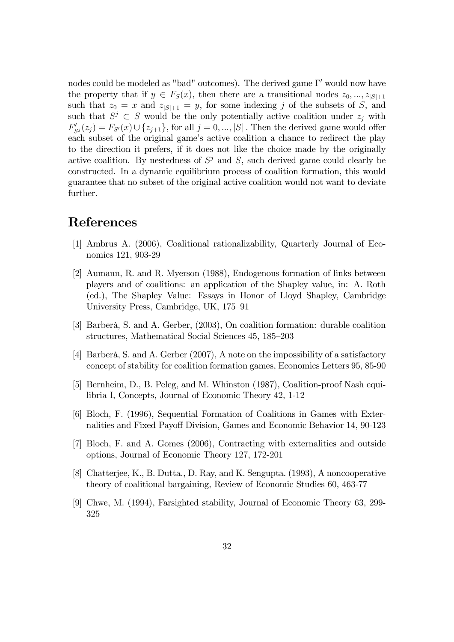nodes could be modeled as "bad" outcomes). The derived game  $\Gamma'$  would now have the property that if  $y \in F_S(x)$ , then there are a transitional nodes  $z_0, ..., z_{|S|+1}$ such that  $z_0 = x$  and  $z_{|S|+1} = y$ , for some indexing j of the subsets of S, and such that  $S^j \subset S$  would be the only potentially active coalition under  $z_j$  with  $F'_{S^j}(z_j) = F_{S'}(x) \cup \{z_{j+1}\}\$ , for all  $j = 0, ..., |S|$ . Then the derived game would offer each subset of the original game's active coalition a chance to redirect the play to the direction it prefers, if it does not like the choice made by the originally active coalition. By nestedness of  $S^j$  and S, such derived game could clearly be constructed. In a dynamic equilibrium process of coalition formation, this would guarantee that no subset of the original active coalition would not want to deviate further.

### References

- [1] Ambrus A. (2006), Coalitional rationalizability, Quarterly Journal of Economics 121, 903-29
- [2] Aumann, R. and R. Myerson (1988), Endogenous formation of links between players and of coalitions: an application of the Shapley value, in: A. Roth (ed.), The Shapley Value: Essays in Honor of Lloyd Shapley, Cambridge University Press, Cambridge, UK, 175–91
- [3] Barberà, S. and A. Gerber, (2003), On coalition formation: durable coalition structures, Mathematical Social Sciences 45, 185–203
- [4] Barberà, S. and A. Gerber (2007), A note on the impossibility of a satisfactory concept of stability for coalition formation games, Economics Letters 95, 85-90
- [5] Bernheim, D., B. Peleg, and M. Whinston (1987), Coalition-proof Nash equilibria I, Concepts, Journal of Economic Theory 42, 1-12
- [6] Bloch, F. (1996), Sequential Formation of Coalitions in Games with Externalities and Fixed Payoff Division, Games and Economic Behavior 14, 90-123
- [7] Bloch, F. and A. Gomes (2006), Contracting with externalities and outside options, Journal of Economic Theory 127, 172-201
- [8] Chatterjee, K., B. Dutta., D. Ray, and K. Sengupta. (1993), A noncooperative theory of coalitional bargaining, Review of Economic Studies 60, 463-77
- [9] Chwe, M. (1994), Farsighted stability, Journal of Economic Theory 63, 299- 325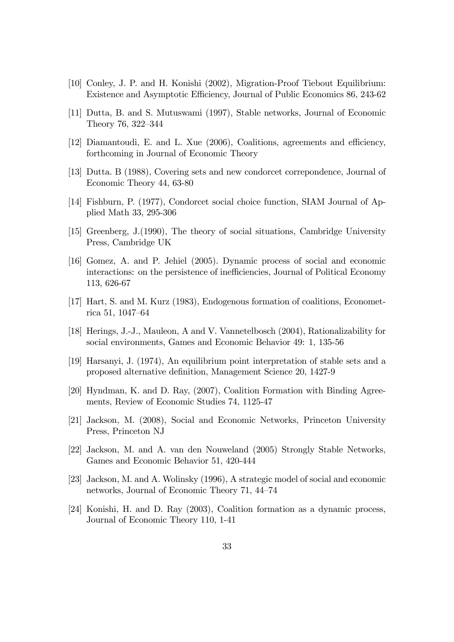- [10] Conley, J. P. and H. Konishi (2002), Migration-Proof Tiebout Equilibrium: Existence and Asymptotic Efficiency, Journal of Public Economics 86, 243-62
- [11] Dutta, B. and S. Mutuswami (1997), Stable networks, Journal of Economic Theory 76, 322–344
- [12] Diamantoudi, E. and L. Xue  $(2006)$ , Coalitions, agreements and efficiency, forthcoming in Journal of Economic Theory
- [13] Dutta. B (1988), Covering sets and new condorcet correpondence, Journal of Economic Theory 44, 63-80
- [14] Fishburn, P. (1977), Condorcet social choice function, SIAM Journal of Applied Math 33, 295-306
- [15] Greenberg, J.(1990), The theory of social situations, Cambridge University Press, Cambridge UK
- [16] Gomez, A. and P. Jehiel (2005). Dynamic process of social and economic interactions: on the persistence of inefficiencies, Journal of Political Economy 113, 626-67
- [17] Hart, S. and M. Kurz (1983), Endogenous formation of coalitions, Econometrica 51, 1047 $-64$
- [18] Herings, J.-J., Mauleon, A and V. Vannetelbosch (2004), Rationalizability for social environments, Games and Economic Behavior 49: 1, 135-56
- [19] Harsanyi, J. (1974), An equilibrium point interpretation of stable sets and a proposed alternative definition, Management Science 20, 1427-9
- [20] Hyndman, K. and D. Ray, (2007), Coalition Formation with Binding Agreements, Review of Economic Studies 74, 1125-47
- [21] Jackson, M. (2008), Social and Economic Networks, Princeton University Press, Princeton NJ
- [22] Jackson, M. and A. van den Nouweland (2005) Strongly Stable Networks, Games and Economic Behavior 51, 420-444
- [23] Jackson, M. and A. Wolinsky (1996), A strategic model of social and economic networks, Journal of Economic Theory 71, 44–74
- [24] Konishi, H. and D. Ray (2003), Coalition formation as a dynamic process, Journal of Economic Theory 110, 1-41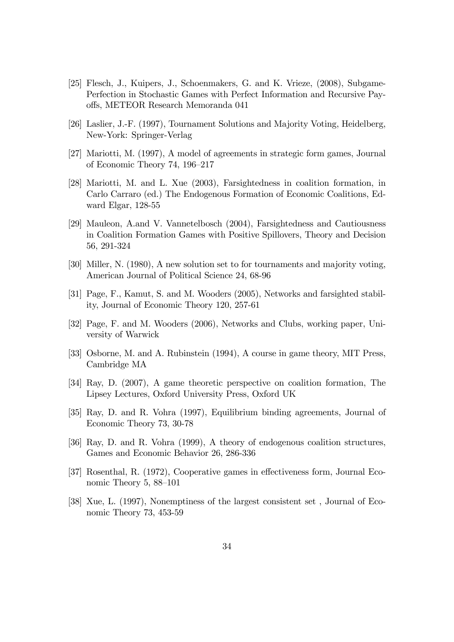- [25] Flesch, J., Kuipers, J., Schoenmakers, G. and K. Vrieze, (2008), Subgame-Perfection in Stochastic Games with Perfect Information and Recursive Payo§s, METEOR Research Memoranda 041
- [26] Laslier, J.-F. (1997), Tournament Solutions and Majority Voting, Heidelberg, New-York: Springer-Verlag
- [27] Mariotti, M. (1997), A model of agreements in strategic form games, Journal of Economic Theory 74,  $196-217$
- [28] Mariotti, M. and L. Xue (2003), Farsightedness in coalition formation, in Carlo Carraro (ed.) The Endogenous Formation of Economic Coalitions, Edward Elgar, 128-55
- [29] Mauleon, A.and V. Vannetelbosch (2004), Farsightedness and Cautiousness in Coalition Formation Games with Positive Spillovers, Theory and Decision 56, 291-324
- [30] Miller, N. (1980), A new solution set to for tournaments and majority voting, American Journal of Political Science 24, 68-96
- [31] Page, F., Kamut, S. and M. Wooders (2005), Networks and farsighted stability, Journal of Economic Theory 120, 257-61
- [32] Page, F. and M. Wooders (2006), Networks and Clubs, working paper, University of Warwick
- [33] Osborne, M. and A. Rubinstein (1994), A course in game theory, MIT Press, Cambridge MA
- [34] Ray, D. (2007), A game theoretic perspective on coalition formation, The Lipsey Lectures, Oxford University Press, Oxford UK
- [35] Ray, D. and R. Vohra (1997), Equilibrium binding agreements, Journal of Economic Theory 73, 30-78
- [36] Ray, D. and R. Vohra (1999), A theory of endogenous coalition structures, Games and Economic Behavior 26, 286-336
- [37] Rosenthal, R. (1972), Cooperative games in effectiveness form, Journal Economic Theory 5,  $88-101$
- [38] Xue, L. (1997), Nonemptiness of the largest consistent set , Journal of Economic Theory 73, 453-59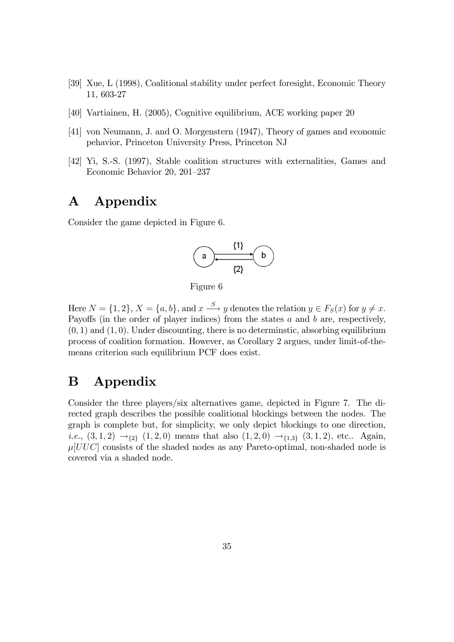- [39] Xue, L (1998), Coalitional stability under perfect foresight, Economic Theory 11, 603-27
- [40] Vartiainen, H. (2005), Cognitive equilibrium, ACE working paper 20
- [41] von Neumann, J. and O. Morgenstern (1947), Theory of games and economic pehavior, Princeton University Press, Princeton NJ
- [42] Yi, S.-S. (1997), Stable coalition structures with externalities, Games and Economic Behavior 20, 201-237

# A Appendix

Consider the game depicted in Figure 6.



Figure 6

Here  $N = \{1, 2\}, X = \{a, b\}, \text{ and } x \stackrel{S}{\longrightarrow} y \text{ denotes the relation } y \in F_S(x) \text{ for } y \neq x.$ Payoffs (in the order of player indices) from the states  $a$  and  $b$  are, respectively,  $(0, 1)$  and  $(1, 0)$ . Under discounting, there is no determinatic, absorbing equilibrium process of coalition formation. However, as Corollary 2 argues, under limit-of-themeans criterion such equilibrium PCF does exist.

# B Appendix

Consider the three players/six alternatives game, depicted in Figure 7. The directed graph describes the possible coalitional blockings between the nodes. The graph is complete but, for simplicity, we only depict blockings to one direction, *i.e.*,  $(3,1,2) \rightarrow_{2} (1,2,0)$  means that also  $(1,2,0) \rightarrow_{1,3} (3,1,2)$ , etc.. Again,  $\mu[UUC]$  consists of the shaded nodes as any Pareto-optimal, non-shaded node is covered via a shaded node.